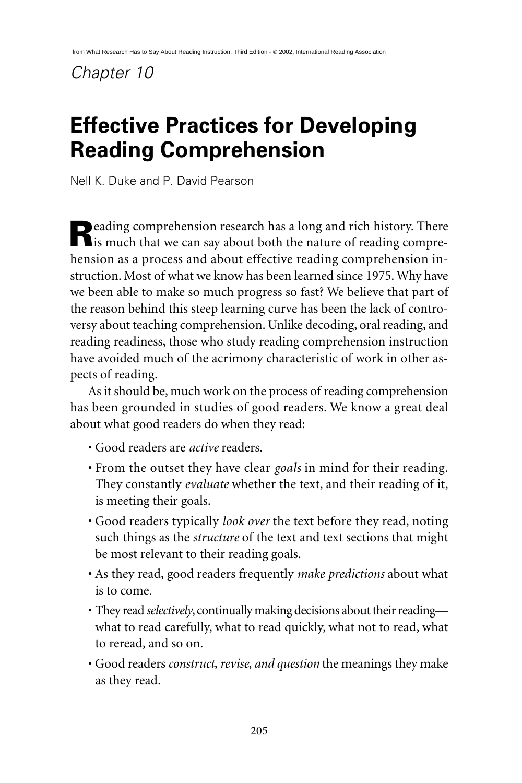# *Chapter 10*

# **Effective Practices for Developing Reading Comprehension**

Nell K. Duke and P. David Pearson

**Reading comprehension research has a long and rich history. There** is much that we can say about both the nature of reading comprehension as a process and about effective reading comprehension instruction. Most of what we know has been learned since 1975. Why have we been able to make so much progress so fast? We believe that part of the reason behind this steep learning curve has been the lack of controversy about teaching comprehension. Unlike decoding, oral reading, and reading readiness, those who study reading comprehension instruction have avoided much of the acrimony characteristic of work in other aspects of reading.

As it should be, much work on the process of reading comprehension has been grounded in studies of good readers. We know a great deal about what good readers do when they read:

- Good readers are *active* readers.
- From the outset they have clear *goals* in mind for their reading. They constantly *evaluate* whether the text, and their reading of it, is meeting their goals.
- Good readers typically *look over* the text before they read, noting such things as the *structure* of the text and text sections that might be most relevant to their reading goals.
- As they read, good readers frequently *make predictions* about what is to come.
- They read *selectively*, continually making decisions about their reading what to read carefully, what to read quickly, what not to read, what to reread, and so on.
- Good readers *construct, revise, and question* the meanings they make as they read.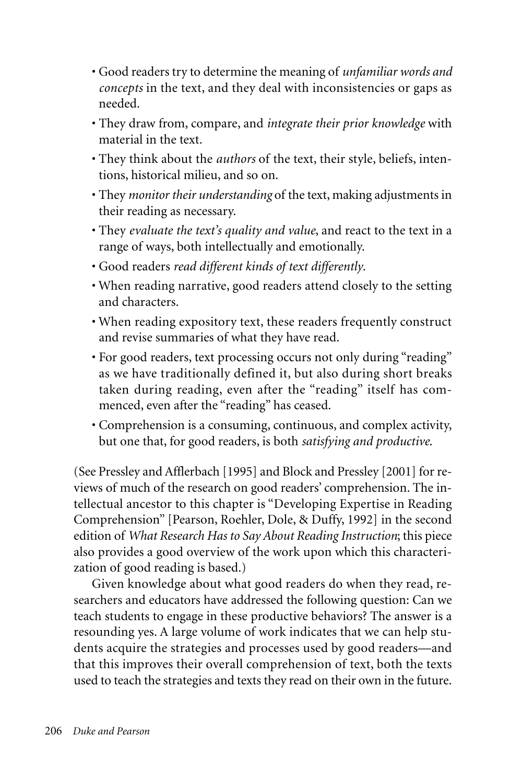- Good readers try to determine the meaning of *unfamiliar words and concepts* in the text, and they deal with inconsistencies or gaps as needed.
- They draw from, compare, and *integrate their prior knowledge* with material in the text.
- They think about the *authors* of the text, their style, beliefs, intentions, historical milieu, and so on.
- They *monitor their understanding* of the text, making adjustments in their reading as necessary.
- They *evaluate the text's quality and value*, and react to the text in a range of ways, both intellectually and emotionally.
- Good readers *read different kinds of text differently*.
- When reading narrative, good readers attend closely to the setting and characters.
- When reading expository text, these readers frequently construct and revise summaries of what they have read.
- For good readers, text processing occurs not only during "reading" as we have traditionally defined it, but also during short breaks taken during reading, even after the "reading" itself has commenced, even after the "reading" has ceased.
- Comprehension is a consuming, continuous, and complex activity, but one that, for good readers, is both *satisfying and productive*.

(See Pressley and Afflerbach [1995] and Block and Pressley [2001] for reviews of much of the research on good readers' comprehension. The intellectual ancestor to this chapter is "Developing Expertise in Reading Comprehension" [Pearson, Roehler, Dole, & Duffy, 1992] in the second edition of *What Research Has to Say About Reading Instruction*; this piece also provides a good overview of the work upon which this characterization of good reading is based.)

Given knowledge about what good readers do when they read, researchers and educators have addressed the following question: Can we teach students to engage in these productive behaviors? The answer is a resounding yes. A large volume of work indicates that we can help students acquire the strategies and processes used by good readers—and that this improves their overall comprehension of text, both the texts used to teach the strategies and texts they read on their own in the future.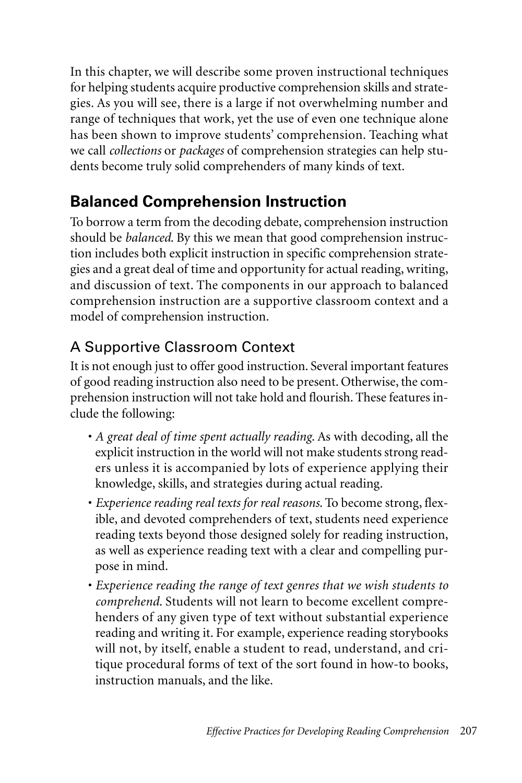In this chapter, we will describe some proven instructional techniques for helping students acquire productive comprehension skills and strategies. As you will see, there is a large if not overwhelming number and range of techniques that work, yet the use of even one technique alone has been shown to improve students' comprehension. Teaching what we call *collections* or *packages* of comprehension strategies can help students become truly solid comprehenders of many kinds of text.

# **Balanced Comprehension Instruction**

To borrow a term from the decoding debate, comprehension instruction should be *balanced*. By this we mean that good comprehension instruction includes both explicit instruction in specific comprehension strategies and a great deal of time and opportunity for actual reading, writing, and discussion of text. The components in our approach to balanced comprehension instruction are a supportive classroom context and a model of comprehension instruction.

# A Supportive Classroom Context

It is not enough just to offer good instruction. Several important features of good reading instruction also need to be present. Otherwise, the comprehension instruction will not take hold and flourish. These features include the following:

- *A great deal of time spent actually reading*. As with decoding, all the explicit instruction in the world will not make students strong readers unless it is accompanied by lots of experience applying their knowledge, skills, and strategies during actual reading.
- *Experience reading real texts for real reasons*. To become strong, flexible, and devoted comprehenders of text, students need experience reading texts beyond those designed solely for reading instruction, as well as experience reading text with a clear and compelling purpose in mind.
- *Experience reading the range of text genres that we wish students to comprehend*. Students will not learn to become excellent comprehenders of any given type of text without substantial experience reading and writing it. For example, experience reading storybooks will not, by itself, enable a student to read, understand, and critique procedural forms of text of the sort found in how-to books, instruction manuals, and the like.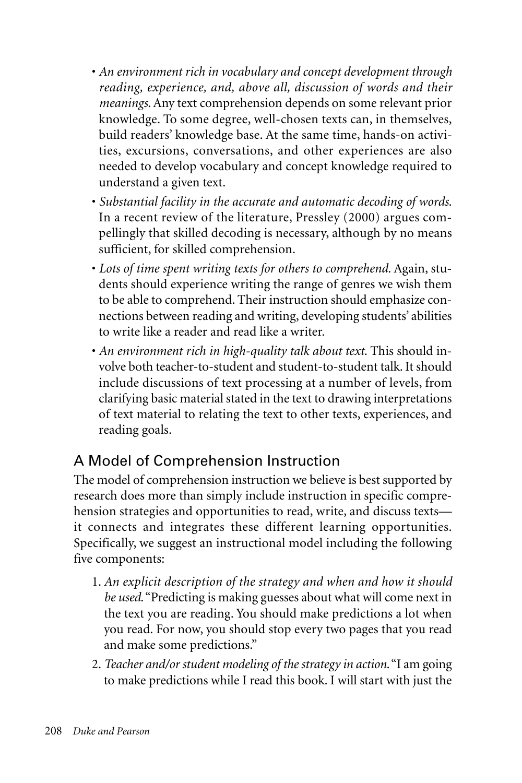- *An environment rich in vocabulary and concept development through reading, experience, and, above all, discussion of words and their meanings*. Any text comprehension depends on some relevant prior knowledge. To some degree, well-chosen texts can, in themselves, build readers' knowledge base. At the same time, hands-on activities, excursions, conversations, and other experiences are also needed to develop vocabulary and concept knowledge required to understand a given text.
- *Substantial facility in the accurate and automatic decoding of words*. In a recent review of the literature, Pressley (2000) argues compellingly that skilled decoding is necessary, although by no means sufficient, for skilled comprehension.
- *Lots of time spent writing texts for others to comprehend*. Again, students should experience writing the range of genres we wish them to be able to comprehend. Their instruction should emphasize connections between reading and writing, developing students' abilities to write like a reader and read like a writer.
- *An environment rich in high-quality talk about text*. This should involve both teacher-to-student and student-to-student talk. It should include discussions of text processing at a number of levels, from clarifying basic material stated in the text to drawing interpretations of text material to relating the text to other texts, experiences, and reading goals.

### A Model of Comprehension Instruction

The model of comprehension instruction we believe is best supported by research does more than simply include instruction in specific comprehension strategies and opportunities to read, write, and discuss texts it connects and integrates these different learning opportunities. Specifically, we suggest an instructional model including the following five components:

- 1. *An explicit description of the strategy and when and how it should be used*."Predicting is making guesses about what will come next in the text you are reading. You should make predictions a lot when you read. For now, you should stop every two pages that you read and make some predictions."
- 2. *Teacher and/or student modeling of the strategy in action*."I am going to make predictions while I read this book. I will start with just the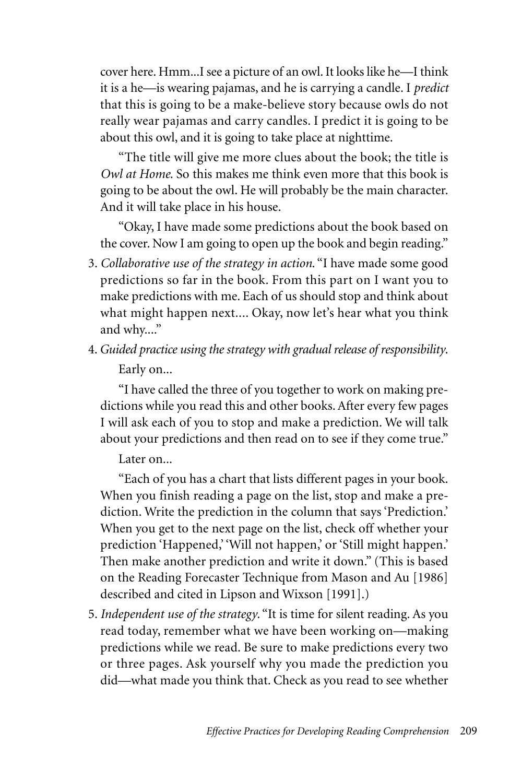cover here. Hmm...I see a picture of an owl. It looks like he—I think it is a he—is wearing pajamas, and he is carrying a candle. I *predict* that this is going to be a make-believe story because owls do not really wear pajamas and carry candles. I predict it is going to be about this owl, and it is going to take place at nighttime.

"The title will give me more clues about the book; the title is *Owl at Home*. So this makes me think even more that this book is going to be about the owl. He will probably be the main character. And it will take place in his house.

"Okay, I have made some predictions about the book based on the cover. Now I am going to open up the book and begin reading."

- 3. *Collaborative use of the strategy in action*. "I have made some good predictions so far in the book. From this part on I want you to make predictions with me. Each of us should stop and think about what might happen next.... Okay, now let's hear what you think and why...."
- 4.*Guided practice using the strategy with gradual release of responsibility*. Early on...

"I have called the three of you together to work on making predictions while you read this and other books. After every few pages I will ask each of you to stop and make a prediction. We will talk about your predictions and then read on to see if they come true."

Later on...

"Each of you has a chart that lists different pages in your book. When you finish reading a page on the list, stop and make a prediction. Write the prediction in the column that says 'Prediction.' When you get to the next page on the list, check off whether your prediction 'Happened,' 'Will not happen,' or 'Still might happen.' Then make another prediction and write it down." (This is based on the Reading Forecaster Technique from Mason and Au [1986] described and cited in Lipson and Wixson [1991].)

5. *Independent use of the strategy*. "It is time for silent reading. As you read today, remember what we have been working on—making predictions while we read. Be sure to make predictions every two or three pages. Ask yourself why you made the prediction you did—what made you think that. Check as you read to see whether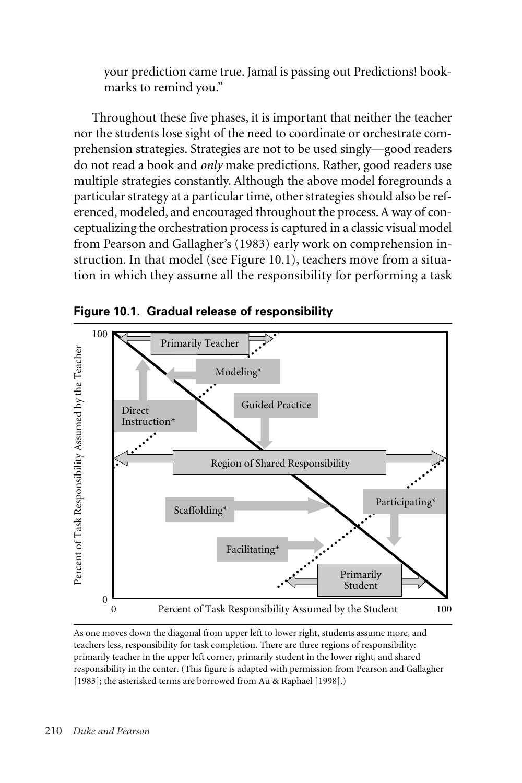your prediction came true. Jamal is passing out Predictions! bookmarks to remind you."

Throughout these five phases, it is important that neither the teacher nor the students lose sight of the need to coordinate or orchestrate comprehension strategies. Strategies are not to be used singly—good readers do not read a book and *only* make predictions. Rather, good readers use multiple strategies constantly. Although the above model foregrounds a particular strategy at a particular time, other strategies should also be referenced, modeled, and encouraged throughout the process. A way of conceptualizing the orchestration process is captured in a classic visual model from Pearson and Gallagher's (1983) early work on comprehension instruction. In that model (see Figure 10.1), teachers move from a situation in which they assume all the responsibility for performing a task



**Figure 10.1. Gradual release of responsibility**

As one moves down the diagonal from upper left to lower right, students assume more, and teachers less, responsibility for task completion. There are three regions of responsibility: primarily teacher in the upper left corner, primarily student in the lower right, and shared responsibility in the center. (This figure is adapted with permission from Pearson and Gallagher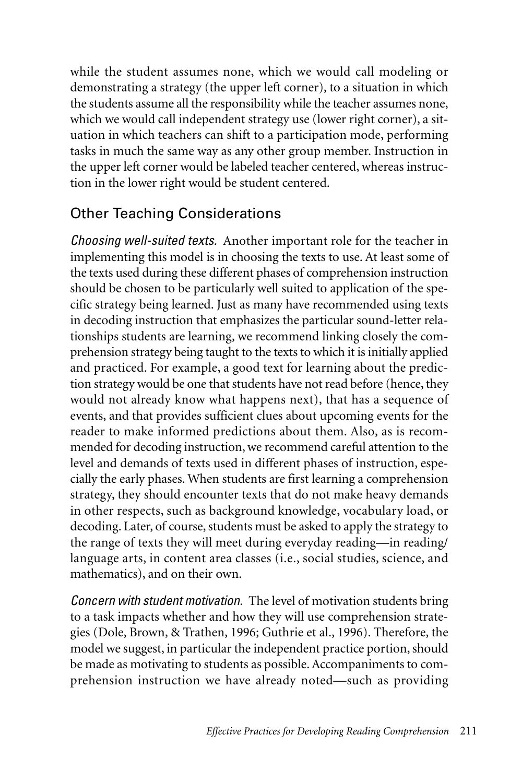while the student assumes none, which we would call modeling or demonstrating a strategy (the upper left corner), to a situation in which the students assume all the responsibility while the teacher assumes none, which we would call independent strategy use (lower right corner), a situation in which teachers can shift to a participation mode, performing tasks in much the same way as any other group member. Instruction in the upper left corner would be labeled teacher centered, whereas instruction in the lower right would be student centered.

### Other Teaching Considerations

*Choosing well-suited texts.* Another important role for the teacher in implementing this model is in choosing the texts to use. At least some of the texts used during these different phases of comprehension instruction should be chosen to be particularly well suited to application of the specific strategy being learned. Just as many have recommended using texts in decoding instruction that emphasizes the particular sound-letter relationships students are learning, we recommend linking closely the comprehension strategy being taught to the texts to which it is initially applied and practiced. For example, a good text for learning about the prediction strategy would be one that students have not read before (hence, they would not already know what happens next), that has a sequence of events, and that provides sufficient clues about upcoming events for the reader to make informed predictions about them. Also, as is recommended for decoding instruction, we recommend careful attention to the level and demands of texts used in different phases of instruction, especially the early phases. When students are first learning a comprehension strategy, they should encounter texts that do not make heavy demands in other respects, such as background knowledge, vocabulary load, or decoding. Later, of course, students must be asked to apply the strategy to the range of texts they will meet during everyday reading—in reading/ language arts, in content area classes (i.e., social studies, science, and mathematics), and on their own.

*Concern with student motivation.* The level of motivation students bring to a task impacts whether and how they will use comprehension strategies (Dole, Brown, & Trathen, 1996; Guthrie et al., 1996). Therefore, the model we suggest, in particular the independent practice portion, should be made as motivating to students as possible. Accompaniments to comprehension instruction we have already noted—such as providing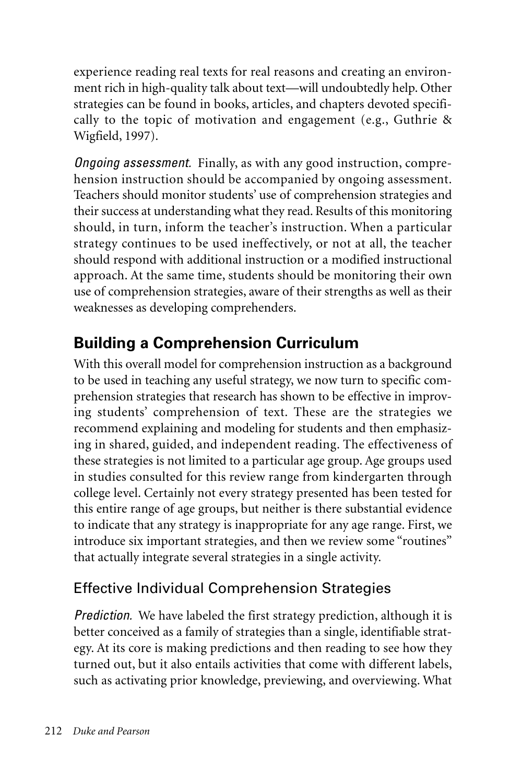experience reading real texts for real reasons and creating an environment rich in high-quality talk about text—will undoubtedly help. Other strategies can be found in books, articles, and chapters devoted specifically to the topic of motivation and engagement (e.g., Guthrie & Wigfield, 1997).

*Ongoing assessment.* Finally, as with any good instruction, comprehension instruction should be accompanied by ongoing assessment. Teachers should monitor students' use of comprehension strategies and their success at understanding what they read. Results of this monitoring should, in turn, inform the teacher's instruction. When a particular strategy continues to be used ineffectively, or not at all, the teacher should respond with additional instruction or a modified instructional approach. At the same time, students should be monitoring their own use of comprehension strategies, aware of their strengths as well as their weaknesses as developing comprehenders.

# **Building a Comprehension Curriculum**

With this overall model for comprehension instruction as a background to be used in teaching any useful strategy, we now turn to specific comprehension strategies that research has shown to be effective in improving students' comprehension of text. These are the strategies we recommend explaining and modeling for students and then emphasizing in shared, guided, and independent reading. The effectiveness of these strategies is not limited to a particular age group. Age groups used in studies consulted for this review range from kindergarten through college level. Certainly not every strategy presented has been tested for this entire range of age groups, but neither is there substantial evidence to indicate that any strategy is inappropriate for any age range. First, we introduce six important strategies, and then we review some "routines" that actually integrate several strategies in a single activity.

# Effective Individual Comprehension Strategies

*Prediction.* We have labeled the first strategy prediction, although it is better conceived as a family of strategies than a single, identifiable strategy. At its core is making predictions and then reading to see how they turned out, but it also entails activities that come with different labels, such as activating prior knowledge, previewing, and overviewing. What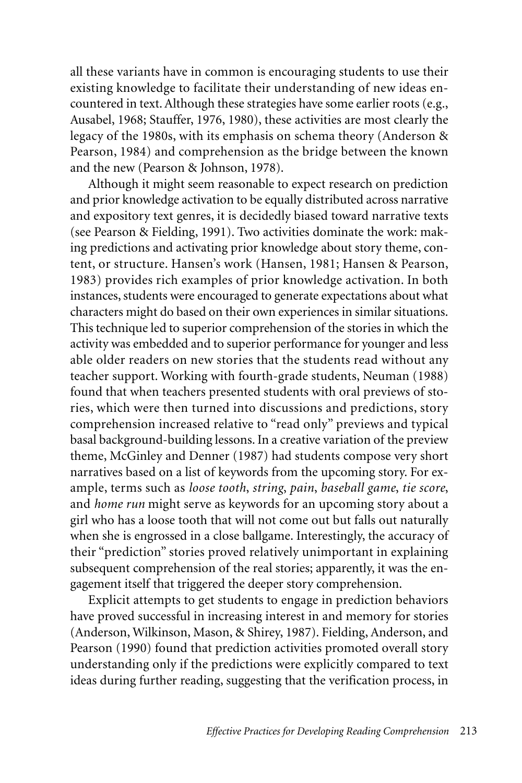all these variants have in common is encouraging students to use their existing knowledge to facilitate their understanding of new ideas encountered in text. Although these strategies have some earlier roots (e.g., Ausabel, 1968; Stauffer, 1976, 1980), these activities are most clearly the legacy of the 1980s, with its emphasis on schema theory (Anderson & Pearson, 1984) and comprehension as the bridge between the known and the new (Pearson & Johnson, 1978).

Although it might seem reasonable to expect research on prediction and prior knowledge activation to be equally distributed across narrative and expository text genres, it is decidedly biased toward narrative texts (see Pearson & Fielding, 1991). Two activities dominate the work: making predictions and activating prior knowledge about story theme, content, or structure. Hansen's work (Hansen, 1981; Hansen & Pearson, 1983) provides rich examples of prior knowledge activation. In both instances, students were encouraged to generate expectations about what characters might do based on their own experiences in similar situations. This technique led to superior comprehension of the stories in which the activity was embedded and to superior performance for younger and less able older readers on new stories that the students read without any teacher support. Working with fourth-grade students, Neuman (1988) found that when teachers presented students with oral previews of stories, which were then turned into discussions and predictions, story comprehension increased relative to "read only" previews and typical basal background-building lessons. In a creative variation of the preview theme, McGinley and Denner (1987) had students compose very short narratives based on a list of keywords from the upcoming story. For example, terms such as *loose tooth*, *string*, *pain*, *baseball game*, *tie score*, and *home run* might serve as keywords for an upcoming story about a girl who has a loose tooth that will not come out but falls out naturally when she is engrossed in a close ballgame. Interestingly, the accuracy of their "prediction" stories proved relatively unimportant in explaining subsequent comprehension of the real stories; apparently, it was the engagement itself that triggered the deeper story comprehension.

Explicit attempts to get students to engage in prediction behaviors have proved successful in increasing interest in and memory for stories (Anderson, Wilkinson, Mason, & Shirey, 1987). Fielding, Anderson, and Pearson (1990) found that prediction activities promoted overall story understanding only if the predictions were explicitly compared to text ideas during further reading, suggesting that the verification process, in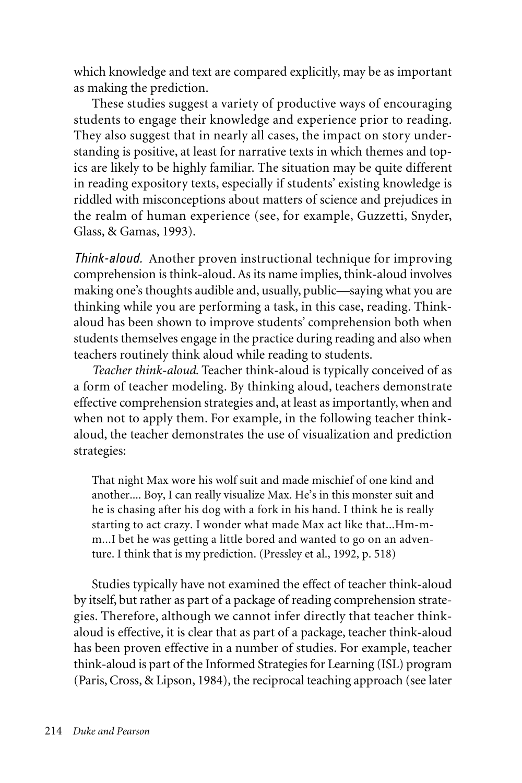which knowledge and text are compared explicitly, may be as important as making the prediction.

These studies suggest a variety of productive ways of encouraging students to engage their knowledge and experience prior to reading. They also suggest that in nearly all cases, the impact on story understanding is positive, at least for narrative texts in which themes and topics are likely to be highly familiar. The situation may be quite different in reading expository texts, especially if students' existing knowledge is riddled with misconceptions about matters of science and prejudices in the realm of human experience (see, for example, Guzzetti, Snyder, Glass, & Gamas, 1993).

*Think-aloud.* Another proven instructional technique for improving comprehension is think-aloud. As its name implies, think-aloud involves making one's thoughts audible and, usually, public—saying what you are thinking while you are performing a task, in this case, reading. Thinkaloud has been shown to improve students' comprehension both when students themselves engage in the practice during reading and also when teachers routinely think aloud while reading to students.

*Teacher think-aloud*. Teacher think-aloud is typically conceived of as a form of teacher modeling. By thinking aloud, teachers demonstrate effective comprehension strategies and, at least as importantly, when and when not to apply them. For example, in the following teacher thinkaloud, the teacher demonstrates the use of visualization and prediction strategies:

That night Max wore his wolf suit and made mischief of one kind and another.... Boy, I can really visualize Max. He's in this monster suit and he is chasing after his dog with a fork in his hand. I think he is really starting to act crazy. I wonder what made Max act like that...Hm-mm...I bet he was getting a little bored and wanted to go on an adventure. I think that is my prediction. (Pressley et al., 1992, p. 518)

Studies typically have not examined the effect of teacher think-aloud by itself, but rather as part of a package of reading comprehension strategies. Therefore, although we cannot infer directly that teacher thinkaloud is effective, it is clear that as part of a package, teacher think-aloud has been proven effective in a number of studies. For example, teacher think-aloud is part of the Informed Strategies for Learning (ISL) program (Paris, Cross, & Lipson, 1984), the reciprocal teaching approach (see later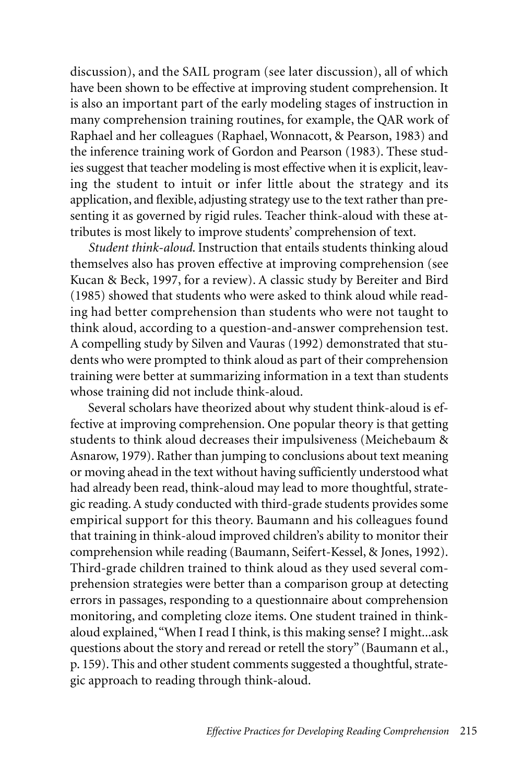discussion), and the SAIL program (see later discussion), all of which have been shown to be effective at improving student comprehension. It is also an important part of the early modeling stages of instruction in many comprehension training routines, for example, the QAR work of Raphael and her colleagues (Raphael, Wonnacott, & Pearson, 1983) and the inference training work of Gordon and Pearson (1983). These studies suggest that teacher modeling is most effective when it is explicit, leaving the student to intuit or infer little about the strategy and its application, and flexible, adjusting strategy use to the text rather than presenting it as governed by rigid rules. Teacher think-aloud with these attributes is most likely to improve students' comprehension of text.

*Student think-aloud*. Instruction that entails students thinking aloud themselves also has proven effective at improving comprehension (see Kucan & Beck, 1997, for a review). A classic study by Bereiter and Bird (1985) showed that students who were asked to think aloud while reading had better comprehension than students who were not taught to think aloud, according to a question-and-answer comprehension test. A compelling study by Silven and Vauras (1992) demonstrated that students who were prompted to think aloud as part of their comprehension training were better at summarizing information in a text than students whose training did not include think-aloud.

Several scholars have theorized about why student think-aloud is effective at improving comprehension. One popular theory is that getting students to think aloud decreases their impulsiveness (Meichebaum & Asnarow, 1979). Rather than jumping to conclusions about text meaning or moving ahead in the text without having sufficiently understood what had already been read, think-aloud may lead to more thoughtful, strategic reading. A study conducted with third-grade students provides some empirical support for this theory. Baumann and his colleagues found that training in think-aloud improved children's ability to monitor their comprehension while reading (Baumann, Seifert-Kessel, & Jones, 1992). Third-grade children trained to think aloud as they used several comprehension strategies were better than a comparison group at detecting errors in passages, responding to a questionnaire about comprehension monitoring, and completing cloze items. One student trained in thinkaloud explained,"When I read I think, is this making sense? I might...ask questions about the story and reread or retell the story" (Baumann et al., p. 159). This and other student comments suggested a thoughtful, strategic approach to reading through think-aloud.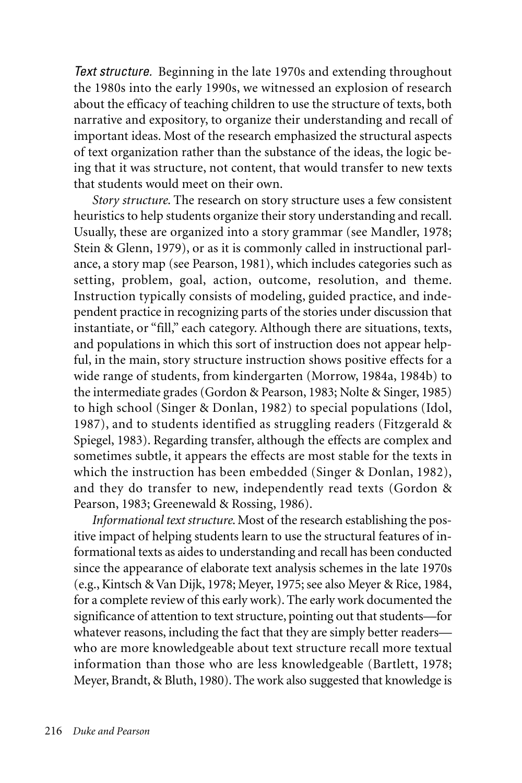*Text structure.* Beginning in the late 1970s and extending throughout the 1980s into the early 1990s, we witnessed an explosion of research about the efficacy of teaching children to use the structure of texts, both narrative and expository, to organize their understanding and recall of important ideas. Most of the research emphasized the structural aspects of text organization rather than the substance of the ideas, the logic being that it was structure, not content, that would transfer to new texts that students would meet on their own.

*Story structure*. The research on story structure uses a few consistent heuristics to help students organize their story understanding and recall. Usually, these are organized into a story grammar (see Mandler, 1978; Stein & Glenn, 1979), or as it is commonly called in instructional parlance, a story map (see Pearson, 1981), which includes categories such as setting, problem, goal, action, outcome, resolution, and theme. Instruction typically consists of modeling, guided practice, and independent practice in recognizing parts of the stories under discussion that instantiate, or "fill," each category. Although there are situations, texts, and populations in which this sort of instruction does not appear helpful, in the main, story structure instruction shows positive effects for a wide range of students, from kindergarten (Morrow, 1984a, 1984b) to the intermediate grades (Gordon & Pearson, 1983; Nolte & Singer, 1985) to high school (Singer & Donlan, 1982) to special populations (Idol, 1987), and to students identified as struggling readers (Fitzgerald & Spiegel, 1983). Regarding transfer, although the effects are complex and sometimes subtle, it appears the effects are most stable for the texts in which the instruction has been embedded (Singer & Donlan, 1982), and they do transfer to new, independently read texts (Gordon & Pearson, 1983; Greenewald & Rossing, 1986).

*Informational text structure*. Most of the research establishing the positive impact of helping students learn to use the structural features of informational texts as aides to understanding and recall has been conducted since the appearance of elaborate text analysis schemes in the late 1970s (e.g., Kintsch & Van Dijk, 1978; Meyer, 1975; see also Meyer & Rice, 1984, for a complete review of this early work). The early work documented the significance of attention to text structure, pointing out that students—for whatever reasons, including the fact that they are simply better readers who are more knowledgeable about text structure recall more textual information than those who are less knowledgeable (Bartlett, 1978; Meyer, Brandt, & Bluth, 1980). The work also suggested that knowledge is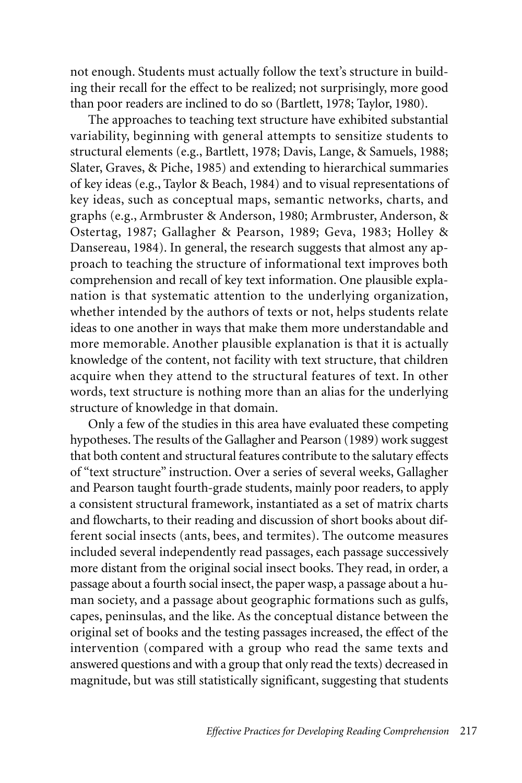not enough. Students must actually follow the text's structure in building their recall for the effect to be realized; not surprisingly, more good than poor readers are inclined to do so (Bartlett, 1978; Taylor, 1980).

The approaches to teaching text structure have exhibited substantial variability, beginning with general attempts to sensitize students to structural elements (e.g., Bartlett, 1978; Davis, Lange, & Samuels, 1988; Slater, Graves, & Piche, 1985) and extending to hierarchical summaries of key ideas (e.g., Taylor & Beach, 1984) and to visual representations of key ideas, such as conceptual maps, semantic networks, charts, and graphs (e.g., Armbruster & Anderson, 1980; Armbruster, Anderson, & Ostertag, 1987; Gallagher & Pearson, 1989; Geva, 1983; Holley & Dansereau, 1984). In general, the research suggests that almost any approach to teaching the structure of informational text improves both comprehension and recall of key text information. One plausible explanation is that systematic attention to the underlying organization, whether intended by the authors of texts or not, helps students relate ideas to one another in ways that make them more understandable and more memorable. Another plausible explanation is that it is actually knowledge of the content, not facility with text structure, that children acquire when they attend to the structural features of text. In other words, text structure is nothing more than an alias for the underlying structure of knowledge in that domain.

Only a few of the studies in this area have evaluated these competing hypotheses. The results of the Gallagher and Pearson (1989) work suggest that both content and structural features contribute to the salutary effects of "text structure" instruction. Over a series of several weeks, Gallagher and Pearson taught fourth-grade students, mainly poor readers, to apply a consistent structural framework, instantiated as a set of matrix charts and flowcharts, to their reading and discussion of short books about different social insects (ants, bees, and termites). The outcome measures included several independently read passages, each passage successively more distant from the original social insect books. They read, in order, a passage about a fourth social insect, the paper wasp, a passage about a human society, and a passage about geographic formations such as gulfs, capes, peninsulas, and the like. As the conceptual distance between the original set of books and the testing passages increased, the effect of the intervention (compared with a group who read the same texts and answered questions and with a group that only read the texts) decreased in magnitude, but was still statistically significant, suggesting that students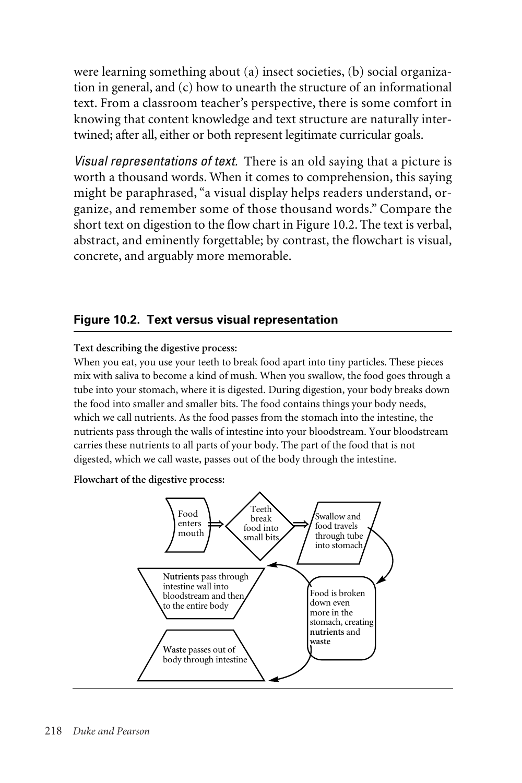were learning something about (a) insect societies, (b) social organization in general, and (c) how to unearth the structure of an informational text. From a classroom teacher's perspective, there is some comfort in knowing that content knowledge and text structure are naturally intertwined; after all, either or both represent legitimate curricular goals.

*Visual representations of text.* There is an old saying that a picture is worth a thousand words. When it comes to comprehension, this saying might be paraphrased, "a visual display helps readers understand, organize, and remember some of those thousand words." Compare the short text on digestion to the flow chart in Figure 10.2. The text is verbal, abstract, and eminently forgettable; by contrast, the flowchart is visual, concrete, and arguably more memorable.

#### **Figure 10.2. Text versus visual representation**

#### **Text describing the digestive process:**

When you eat, you use your teeth to break food apart into tiny particles. These pieces mix with saliva to become a kind of mush. When you swallow, the food goes through a tube into your stomach, where it is digested. During digestion, your body breaks down the food into smaller and smaller bits. The food contains things your body needs, which we call nutrients. As the food passes from the stomach into the intestine, the nutrients pass through the walls of intestine into your bloodstream. Your bloodstream carries these nutrients to all parts of your body. The part of the food that is not digested, which we call waste, passes out of the body through the intestine.

#### **Flowchart of the digestive process:**

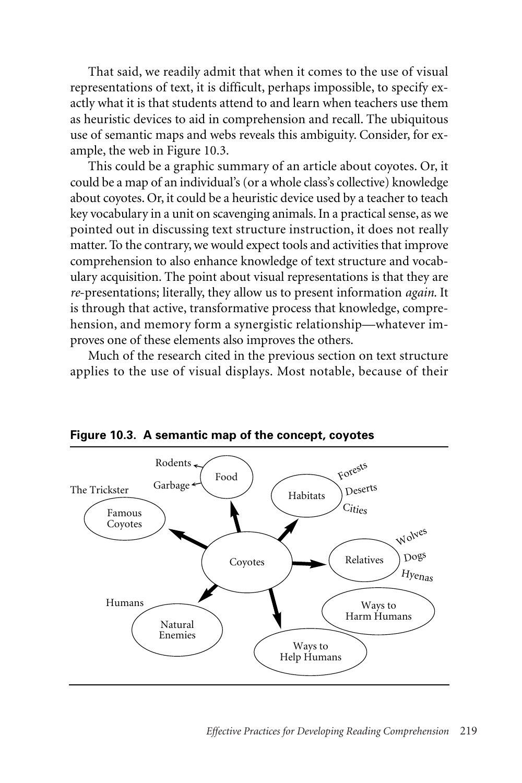That said, we readily admit that when it comes to the use of visual representations of text, it is difficult, perhaps impossible, to specify exactly what it is that students attend to and learn when teachers use them as heuristic devices to aid in comprehension and recall. The ubiquitous use of semantic maps and webs reveals this ambiguity. Consider, for example, the web in Figure 10.3.

This could be a graphic summary of an article about coyotes. Or, it could be a map of an individual's (or a whole class's collective) knowledge about coyotes. Or, it could be a heuristic device used by a teacher to teach key vocabulary in a unit on scavenging animals. In a practical sense, as we pointed out in discussing text structure instruction, it does not really matter. To the contrary, we would expect tools and activities that improve comprehension to also enhance knowledge of text structure and vocabulary acquisition. The point about visual representations is that they are *re*-presentations; literally, they allow us to present information *again*. It is through that active, transformative process that knowledge, comprehension, and memory form a synergistic relationship—whatever improves one of these elements also improves the others.

Much of the research cited in the previous section on text structure applies to the use of visual displays. Most notable, because of their



**Figure 10.3. A semantic map of the concept, coyotes**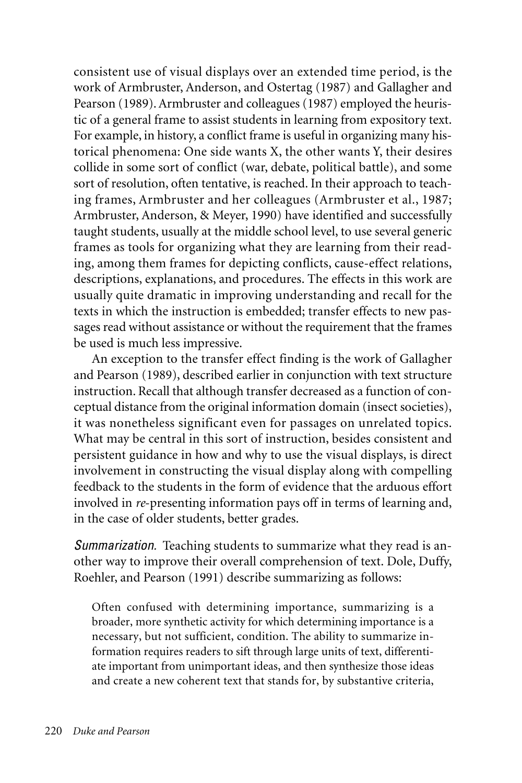consistent use of visual displays over an extended time period, is the work of Armbruster, Anderson, and Ostertag (1987) and Gallagher and Pearson (1989). Armbruster and colleagues (1987) employed the heuristic of a general frame to assist students in learning from expository text. For example, in history, a conflict frame is useful in organizing many historical phenomena: One side wants X, the other wants Y, their desires collide in some sort of conflict (war, debate, political battle), and some sort of resolution, often tentative, is reached. In their approach to teaching frames, Armbruster and her colleagues (Armbruster et al., 1987; Armbruster, Anderson, & Meyer, 1990) have identified and successfully taught students, usually at the middle school level, to use several generic frames as tools for organizing what they are learning from their reading, among them frames for depicting conflicts, cause-effect relations, descriptions, explanations, and procedures. The effects in this work are usually quite dramatic in improving understanding and recall for the texts in which the instruction is embedded; transfer effects to new passages read without assistance or without the requirement that the frames be used is much less impressive.

An exception to the transfer effect finding is the work of Gallagher and Pearson (1989), described earlier in conjunction with text structure instruction. Recall that although transfer decreased as a function of conceptual distance from the original information domain (insect societies), it was nonetheless significant even for passages on unrelated topics. What may be central in this sort of instruction, besides consistent and persistent guidance in how and why to use the visual displays, is direct involvement in constructing the visual display along with compelling feedback to the students in the form of evidence that the arduous effort involved in *re*-presenting information pays off in terms of learning and, in the case of older students, better grades.

*Summarization.* Teaching students to summarize what they read is another way to improve their overall comprehension of text. Dole, Duffy, Roehler, and Pearson (1991) describe summarizing as follows:

Often confused with determining importance, summarizing is a broader, more synthetic activity for which determining importance is a necessary, but not sufficient, condition. The ability to summarize information requires readers to sift through large units of text, differentiate important from unimportant ideas, and then synthesize those ideas and create a new coherent text that stands for, by substantive criteria,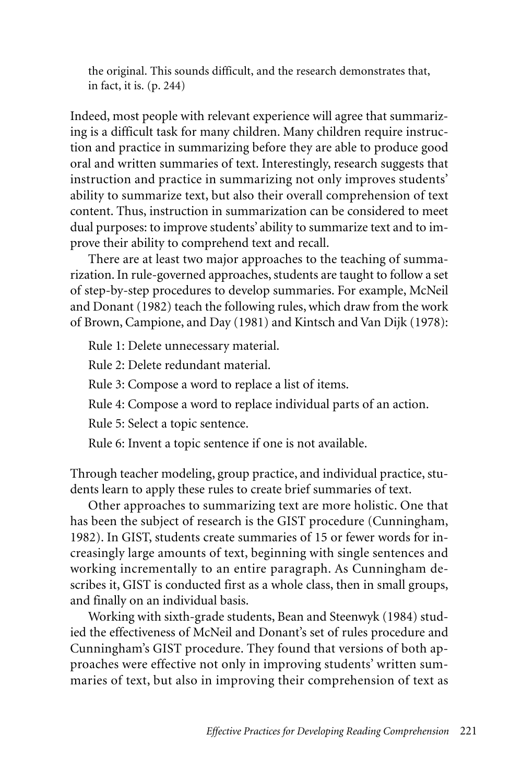the original. This sounds difficult, and the research demonstrates that, in fact, it is. (p. 244)

Indeed, most people with relevant experience will agree that summarizing is a difficult task for many children. Many children require instruction and practice in summarizing before they are able to produce good oral and written summaries of text. Interestingly, research suggests that instruction and practice in summarizing not only improves students' ability to summarize text, but also their overall comprehension of text content. Thus, instruction in summarization can be considered to meet dual purposes: to improve students' ability to summarize text and to improve their ability to comprehend text and recall.

There are at least two major approaches to the teaching of summarization. In rule-governed approaches, students are taught to follow a set of step-by-step procedures to develop summaries. For example, McNeil and Donant (1982) teach the following rules, which draw from the work of Brown, Campione, and Day (1981) and Kintsch and Van Dijk (1978):

Rule 1: Delete unnecessary material.

Rule 2: Delete redundant material.

Rule 3: Compose a word to replace a list of items.

Rule 4: Compose a word to replace individual parts of an action.

Rule 5: Select a topic sentence.

Rule 6: Invent a topic sentence if one is not available.

Through teacher modeling, group practice, and individual practice, students learn to apply these rules to create brief summaries of text.

Other approaches to summarizing text are more holistic. One that has been the subject of research is the GIST procedure (Cunningham, 1982). In GIST, students create summaries of 15 or fewer words for increasingly large amounts of text, beginning with single sentences and working incrementally to an entire paragraph. As Cunningham describes it, GIST is conducted first as a whole class, then in small groups, and finally on an individual basis.

Working with sixth-grade students, Bean and Steenwyk (1984) studied the effectiveness of McNeil and Donant's set of rules procedure and Cunningham's GIST procedure. They found that versions of both approaches were effective not only in improving students' written summaries of text, but also in improving their comprehension of text as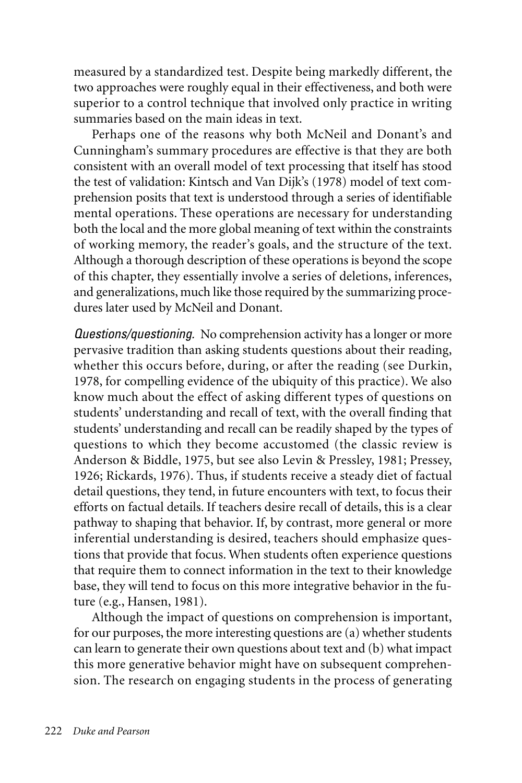measured by a standardized test. Despite being markedly different, the two approaches were roughly equal in their effectiveness, and both were superior to a control technique that involved only practice in writing summaries based on the main ideas in text.

Perhaps one of the reasons why both McNeil and Donant's and Cunningham's summary procedures are effective is that they are both consistent with an overall model of text processing that itself has stood the test of validation: Kintsch and Van Dijk's (1978) model of text comprehension posits that text is understood through a series of identifiable mental operations. These operations are necessary for understanding both the local and the more global meaning of text within the constraints of working memory, the reader's goals, and the structure of the text. Although a thorough description of these operations is beyond the scope of this chapter, they essentially involve a series of deletions, inferences, and generalizations, much like those required by the summarizing procedures later used by McNeil and Donant.

*Questions/questioning.* No comprehension activity has a longer or more pervasive tradition than asking students questions about their reading, whether this occurs before, during, or after the reading (see Durkin, 1978, for compelling evidence of the ubiquity of this practice). We also know much about the effect of asking different types of questions on students' understanding and recall of text, with the overall finding that students' understanding and recall can be readily shaped by the types of questions to which they become accustomed (the classic review is Anderson & Biddle, 1975, but see also Levin & Pressley, 1981; Pressey, 1926; Rickards, 1976). Thus, if students receive a steady diet of factual detail questions, they tend, in future encounters with text, to focus their efforts on factual details. If teachers desire recall of details, this is a clear pathway to shaping that behavior. If, by contrast, more general or more inferential understanding is desired, teachers should emphasize questions that provide that focus. When students often experience questions that require them to connect information in the text to their knowledge base, they will tend to focus on this more integrative behavior in the future (e.g., Hansen, 1981).

Although the impact of questions on comprehension is important, for our purposes, the more interesting questions are (a) whether students can learn to generate their own questions about text and (b) what impact this more generative behavior might have on subsequent comprehension. The research on engaging students in the process of generating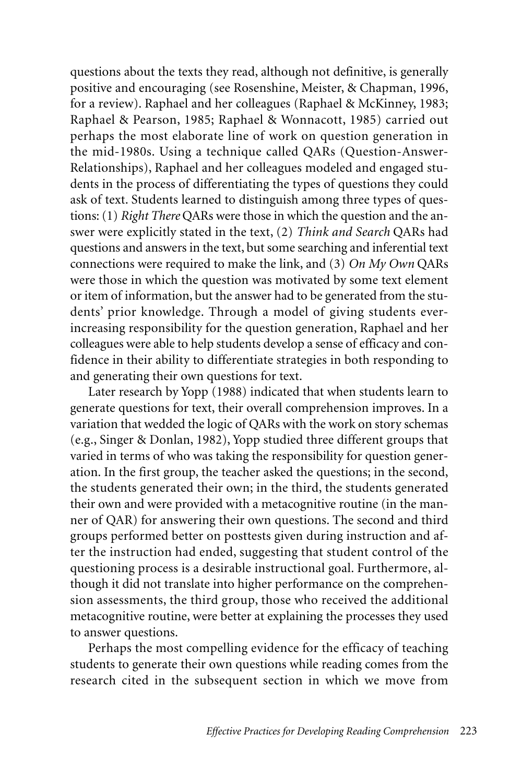questions about the texts they read, although not definitive, is generally positive and encouraging (see Rosenshine, Meister, & Chapman, 1996, for a review). Raphael and her colleagues (Raphael & McKinney, 1983; Raphael & Pearson, 1985; Raphael & Wonnacott, 1985) carried out perhaps the most elaborate line of work on question generation in the mid-1980s. Using a technique called QARs (Question-Answer-Relationships), Raphael and her colleagues modeled and engaged students in the process of differentiating the types of questions they could ask of text. Students learned to distinguish among three types of questions: (1) *Right There* QARs were those in which the question and the answer were explicitly stated in the text, (2) *Think and Search* QARs had questions and answers in the text, but some searching and inferential text connections were required to make the link, and (3) *On My Own* QARs were those in which the question was motivated by some text element or item of information, but the answer had to be generated from the students' prior knowledge. Through a model of giving students everincreasing responsibility for the question generation, Raphael and her colleagues were able to help students develop a sense of efficacy and confidence in their ability to differentiate strategies in both responding to and generating their own questions for text.

Later research by Yopp (1988) indicated that when students learn to generate questions for text, their overall comprehension improves. In a variation that wedded the logic of QARs with the work on story schemas (e.g., Singer & Donlan, 1982), Yopp studied three different groups that varied in terms of who was taking the responsibility for question generation. In the first group, the teacher asked the questions; in the second, the students generated their own; in the third, the students generated their own and were provided with a metacognitive routine (in the manner of QAR) for answering their own questions. The second and third groups performed better on posttests given during instruction and after the instruction had ended, suggesting that student control of the questioning process is a desirable instructional goal. Furthermore, although it did not translate into higher performance on the comprehension assessments, the third group, those who received the additional metacognitive routine, were better at explaining the processes they used to answer questions.

Perhaps the most compelling evidence for the efficacy of teaching students to generate their own questions while reading comes from the research cited in the subsequent section in which we move from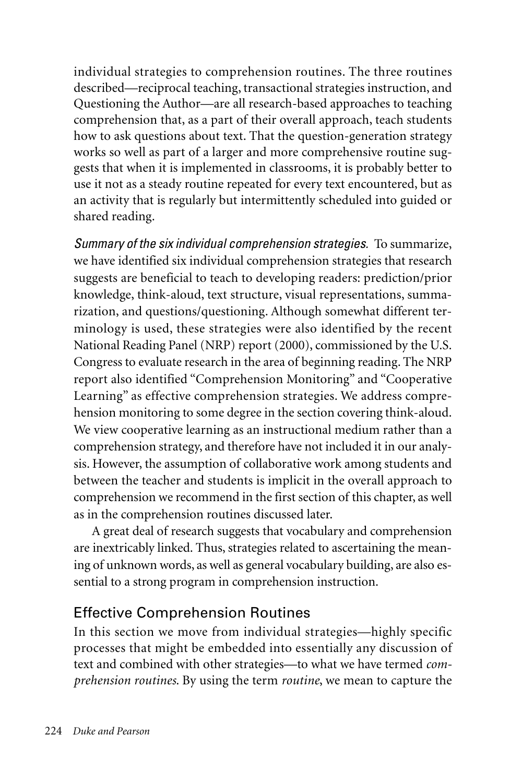individual strategies to comprehension routines. The three routines described—reciprocal teaching, transactional strategies instruction, and Questioning the Author—are all research-based approaches to teaching comprehension that, as a part of their overall approach, teach students how to ask questions about text. That the question-generation strategy works so well as part of a larger and more comprehensive routine suggests that when it is implemented in classrooms, it is probably better to use it not as a steady routine repeated for every text encountered, but as an activity that is regularly but intermittently scheduled into guided or shared reading.

*Summary of the six individual comprehension strategies.* To summarize, we have identified six individual comprehension strategies that research suggests are beneficial to teach to developing readers: prediction/prior knowledge, think-aloud, text structure, visual representations, summarization, and questions/questioning. Although somewhat different terminology is used, these strategies were also identified by the recent National Reading Panel (NRP) report (2000), commissioned by the U.S. Congress to evaluate research in the area of beginning reading. The NRP report also identified "Comprehension Monitoring" and "Cooperative Learning" as effective comprehension strategies. We address comprehension monitoring to some degree in the section covering think-aloud. We view cooperative learning as an instructional medium rather than a comprehension strategy, and therefore have not included it in our analysis. However, the assumption of collaborative work among students and between the teacher and students is implicit in the overall approach to comprehension we recommend in the first section of this chapter, as well as in the comprehension routines discussed later.

A great deal of research suggests that vocabulary and comprehension are inextricably linked. Thus, strategies related to ascertaining the meaning of unknown words, as well as general vocabulary building, are also essential to a strong program in comprehension instruction.

### Effective Comprehension Routines

In this section we move from individual strategies—highly specific processes that might be embedded into essentially any discussion of text and combined with other strategies—to what we have termed *comprehension routines*. By using the term *routine*, we mean to capture the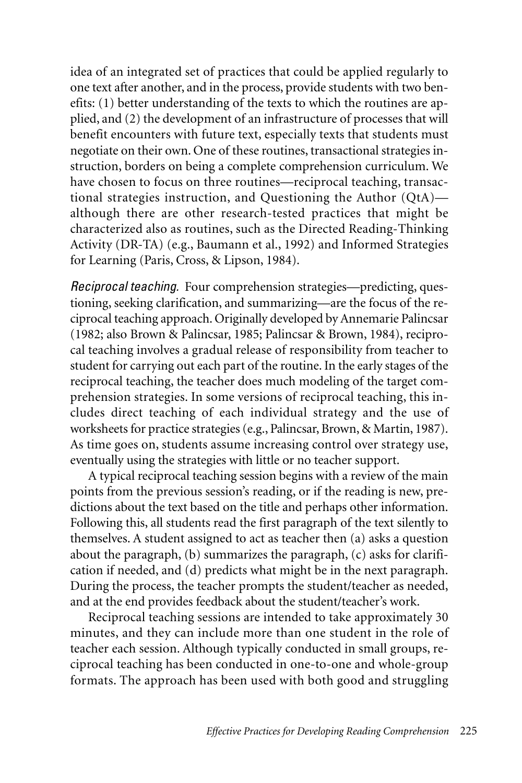idea of an integrated set of practices that could be applied regularly to one text after another, and in the process, provide students with two benefits: (1) better understanding of the texts to which the routines are applied, and (2) the development of an infrastructure of processes that will benefit encounters with future text, especially texts that students must negotiate on their own. One of these routines, transactional strategies instruction, borders on being a complete comprehension curriculum. We have chosen to focus on three routines—reciprocal teaching, transactional strategies instruction, and Questioning the Author (QtA) although there are other research-tested practices that might be characterized also as routines, such as the Directed Reading-Thinking Activity (DR-TA) (e.g., Baumann et al., 1992) and Informed Strategies for Learning (Paris, Cross, & Lipson, 1984).

*Reciprocal teaching.* Four comprehension strategies—predicting, questioning, seeking clarification, and summarizing—are the focus of the reciprocal teaching approach. Originally developed by Annemarie Palincsar (1982; also Brown & Palincsar, 1985; Palincsar & Brown, 1984), reciprocal teaching involves a gradual release of responsibility from teacher to student for carrying out each part of the routine. In the early stages of the reciprocal teaching, the teacher does much modeling of the target comprehension strategies. In some versions of reciprocal teaching, this includes direct teaching of each individual strategy and the use of worksheets for practice strategies (e.g., Palincsar, Brown, & Martin, 1987). As time goes on, students assume increasing control over strategy use, eventually using the strategies with little or no teacher support.

A typical reciprocal teaching session begins with a review of the main points from the previous session's reading, or if the reading is new, predictions about the text based on the title and perhaps other information. Following this, all students read the first paragraph of the text silently to themselves. A student assigned to act as teacher then (a) asks a question about the paragraph, (b) summarizes the paragraph, (c) asks for clarification if needed, and (d) predicts what might be in the next paragraph. During the process, the teacher prompts the student/teacher as needed, and at the end provides feedback about the student/teacher's work.

Reciprocal teaching sessions are intended to take approximately 30 minutes, and they can include more than one student in the role of teacher each session. Although typically conducted in small groups, reciprocal teaching has been conducted in one-to-one and whole-group formats. The approach has been used with both good and struggling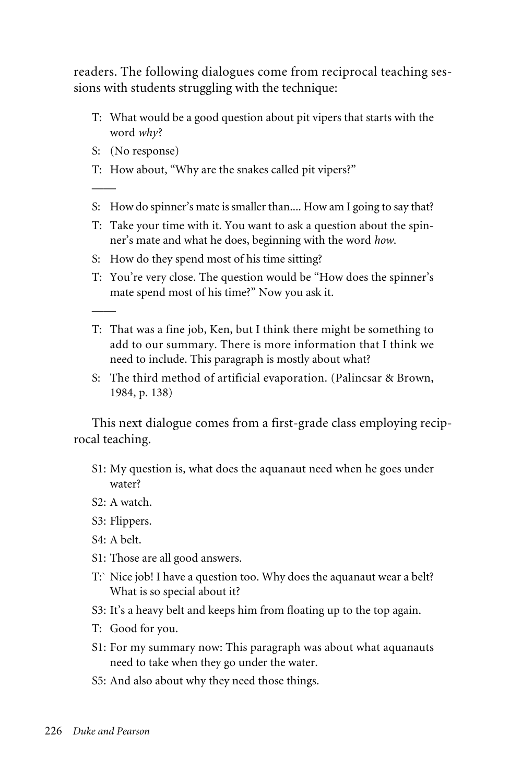readers. The following dialogues come from reciprocal teaching sessions with students struggling with the technique:

- T: What would be a good question about pit vipers that starts with the word *why*?
- S: (No response)

——

——

- T: How about, "Why are the snakes called pit vipers?"
- S: How do spinner's mate is smaller than.... How am I going to say that?
- T: Take your time with it. You want to ask a question about the spinner's mate and what he does, beginning with the word *how*.
- S: How do they spend most of his time sitting?
- T: You're very close. The question would be "How does the spinner's mate spend most of his time?" Now you ask it.
- T: That was a fine job, Ken, but I think there might be something to add to our summary. There is more information that I think we need to include. This paragraph is mostly about what?
- S: The third method of artificial evaporation. (Palincsar & Brown, 1984, p. 138)

This next dialogue comes from a first-grade class employing reciprocal teaching.

- S1: My question is, what does the aquanaut need when he goes under water?
- S2: A watch.
- S3: Flippers.
- S4: A belt.
- S1: Those are all good answers.
- T:` Nice job! I have a question too. Why does the aquanaut wear a belt? What is so special about it?
- S3: It's a heavy belt and keeps him from floating up to the top again.
- T: Good for you.
- S1: For my summary now: This paragraph was about what aquanauts need to take when they go under the water.
- S5: And also about why they need those things.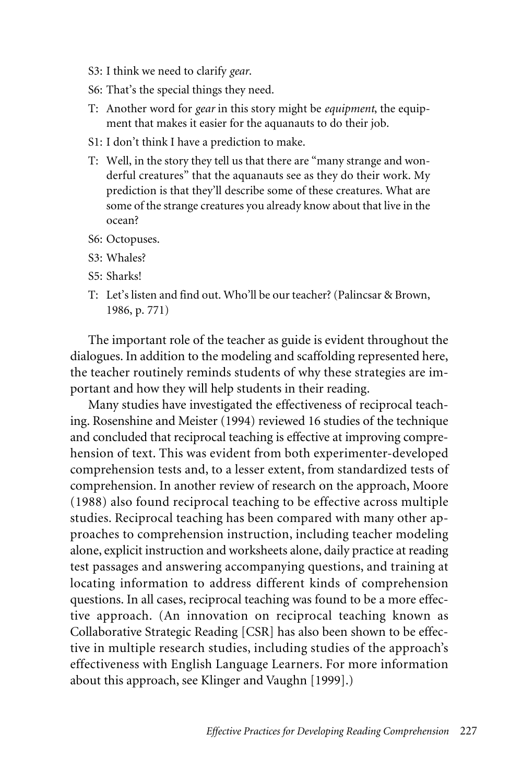- S3: I think we need to clarify *gear*.
- S6: That's the special things they need.
- T: Another word for *gear* in this story might be *equipment*, the equipment that makes it easier for the aquanauts to do their job.
- S1: I don't think I have a prediction to make.
- T: Well, in the story they tell us that there are "many strange and wonderful creatures" that the aquanauts see as they do their work. My prediction is that they'll describe some of these creatures. What are some of the strange creatures you already know about that live in the ocean?
- S6: Octopuses.
- S3: Whales?
- S5: Sharks!
- T: Let's listen and find out. Who'll be our teacher? (Palincsar & Brown, 1986, p. 771)

The important role of the teacher as guide is evident throughout the dialogues. In addition to the modeling and scaffolding represented here, the teacher routinely reminds students of why these strategies are important and how they will help students in their reading.

Many studies have investigated the effectiveness of reciprocal teaching. Rosenshine and Meister (1994) reviewed 16 studies of the technique and concluded that reciprocal teaching is effective at improving comprehension of text. This was evident from both experimenter-developed comprehension tests and, to a lesser extent, from standardized tests of comprehension. In another review of research on the approach, Moore (1988) also found reciprocal teaching to be effective across multiple studies. Reciprocal teaching has been compared with many other approaches to comprehension instruction, including teacher modeling alone, explicit instruction and worksheets alone, daily practice at reading test passages and answering accompanying questions, and training at locating information to address different kinds of comprehension questions. In all cases, reciprocal teaching was found to be a more effective approach. (An innovation on reciprocal teaching known as Collaborative Strategic Reading [CSR] has also been shown to be effective in multiple research studies, including studies of the approach's effectiveness with English Language Learners. For more information about this approach, see Klinger and Vaughn [1999].)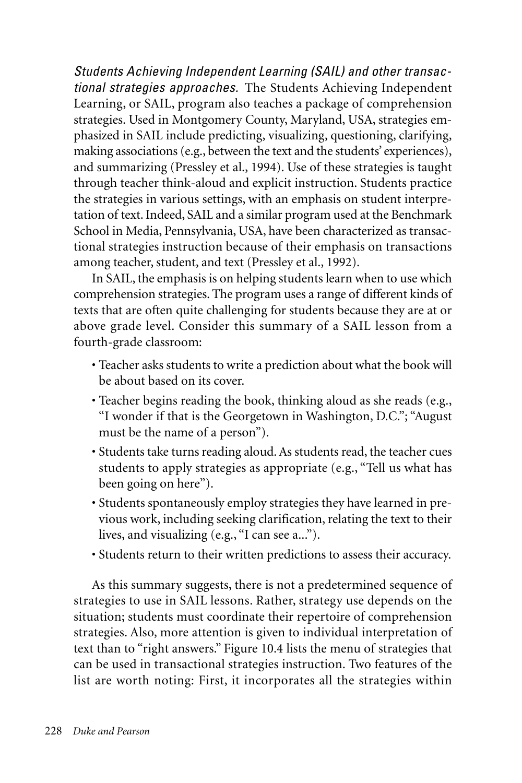*Students Achieving Independent Learning (SAIL) and other transactional strategies approaches.* The Students Achieving Independent Learning, or SAIL, program also teaches a package of comprehension strategies. Used in Montgomery County, Maryland, USA, strategies emphasized in SAIL include predicting, visualizing, questioning, clarifying, making associations (e.g., between the text and the students' experiences), and summarizing (Pressley et al., 1994). Use of these strategies is taught through teacher think-aloud and explicit instruction. Students practice the strategies in various settings, with an emphasis on student interpretation of text. Indeed, SAIL and a similar program used at the Benchmark School in Media, Pennsylvania, USA, have been characterized as transactional strategies instruction because of their emphasis on transactions among teacher, student, and text (Pressley et al., 1992).

In SAIL, the emphasis is on helping students learn when to use which comprehension strategies. The program uses a range of different kinds of texts that are often quite challenging for students because they are at or above grade level. Consider this summary of a SAIL lesson from a fourth-grade classroom:

- Teacher asks students to write a prediction about what the book will be about based on its cover.
- Teacher begins reading the book, thinking aloud as she reads (e.g., "I wonder if that is the Georgetown in Washington, D.C."; "August must be the name of a person").
- Students take turns reading aloud. As students read, the teacher cues students to apply strategies as appropriate (e.g., "Tell us what has been going on here").
- Students spontaneously employ strategies they have learned in previous work, including seeking clarification, relating the text to their lives, and visualizing (e.g., "I can see a...").
- Students return to their written predictions to assess their accuracy.

As this summary suggests, there is not a predetermined sequence of strategies to use in SAIL lessons. Rather, strategy use depends on the situation; students must coordinate their repertoire of comprehension strategies. Also, more attention is given to individual interpretation of text than to "right answers." Figure 10.4 lists the menu of strategies that can be used in transactional strategies instruction. Two features of the list are worth noting: First, it incorporates all the strategies within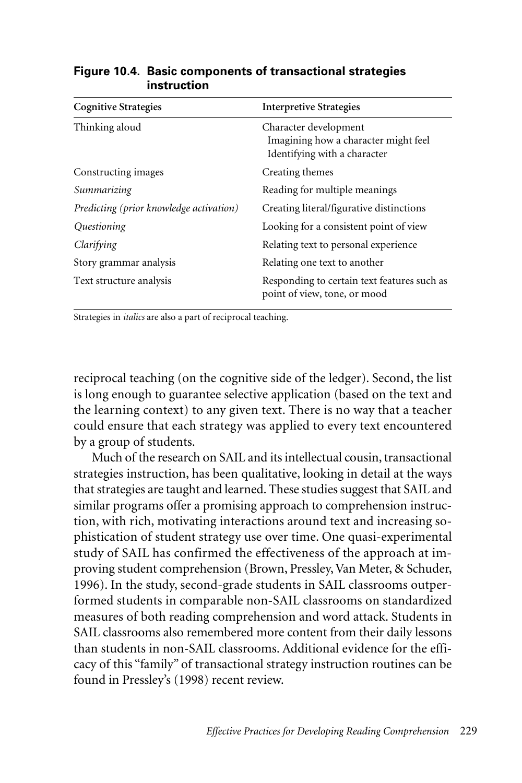| <b>Cognitive Strategies</b>             | <b>Interpretive Strategies</b>                                                                |
|-----------------------------------------|-----------------------------------------------------------------------------------------------|
| Thinking aloud                          | Character development<br>Imagining how a character might feel<br>Identifying with a character |
| Constructing images                     | Creating themes                                                                               |
| Summarizing                             | Reading for multiple meanings                                                                 |
| Predicting (prior knowledge activation) | Creating literal/figurative distinctions                                                      |
| Questioning                             | Looking for a consistent point of view                                                        |
| Clarifying                              | Relating text to personal experience                                                          |
| Story grammar analysis                  | Relating one text to another                                                                  |
| Text structure analysis                 | Responding to certain text features such as<br>point of view, tone, or mood                   |

#### **Figure 10.4. Basic components of transactional strategies instruction**

Strategies in *italics* are also a part of reciprocal teaching.

reciprocal teaching (on the cognitive side of the ledger). Second, the list is long enough to guarantee selective application (based on the text and the learning context) to any given text. There is no way that a teacher could ensure that each strategy was applied to every text encountered by a group of students.

Much of the research on SAIL and its intellectual cousin, transactional strategies instruction, has been qualitative, looking in detail at the ways that strategies are taught and learned. These studies suggest that SAIL and similar programs offer a promising approach to comprehension instruction, with rich, motivating interactions around text and increasing sophistication of student strategy use over time. One quasi-experimental study of SAIL has confirmed the effectiveness of the approach at improving student comprehension (Brown, Pressley, Van Meter, & Schuder, 1996). In the study, second-grade students in SAIL classrooms outperformed students in comparable non-SAIL classrooms on standardized measures of both reading comprehension and word attack. Students in SAIL classrooms also remembered more content from their daily lessons than students in non-SAIL classrooms. Additional evidence for the efficacy of this "family" of transactional strategy instruction routines can be found in Pressley's (1998) recent review.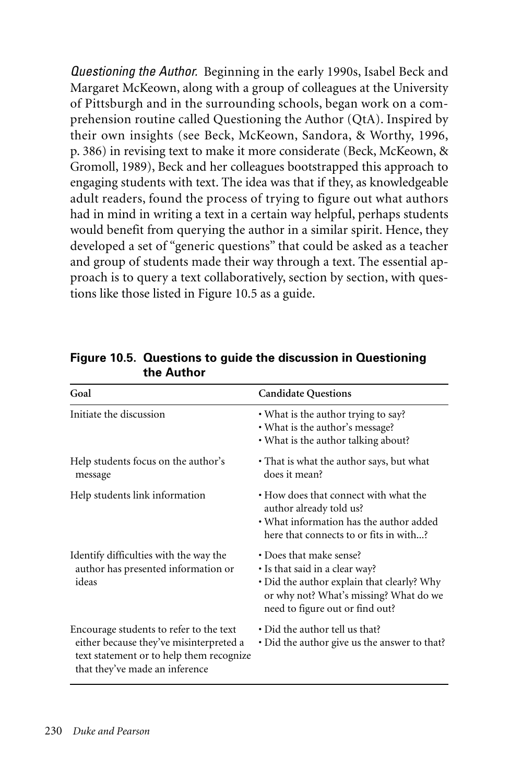*Questioning the Author.* Beginning in the early 1990s, Isabel Beck and Margaret McKeown, along with a group of colleagues at the University of Pittsburgh and in the surrounding schools, began work on a comprehension routine called Questioning the Author (QtA). Inspired by their own insights (see Beck, McKeown, Sandora, & Worthy, 1996, p. 386) in revising text to make it more considerate (Beck, McKeown, & Gromoll, 1989), Beck and her colleagues bootstrapped this approach to engaging students with text. The idea was that if they, as knowledgeable adult readers, found the process of trying to figure out what authors had in mind in writing a text in a certain way helpful, perhaps students would benefit from querying the author in a similar spirit. Hence, they developed a set of "generic questions" that could be asked as a teacher and group of students made their way through a text. The essential approach is to query a text collaboratively, section by section, with questions like those listed in Figure 10.5 as a guide.

| Goal                                                                                                                                                             | <b>Candidate Questions</b>                                                                                                                                                           |
|------------------------------------------------------------------------------------------------------------------------------------------------------------------|--------------------------------------------------------------------------------------------------------------------------------------------------------------------------------------|
| Initiate the discussion                                                                                                                                          | • What is the author trying to say?<br>• What is the author's message?<br>• What is the author talking about?                                                                        |
| Help students focus on the author's<br>message                                                                                                                   | • That is what the author says, but what<br>does it mean?                                                                                                                            |
| Help students link information                                                                                                                                   | • How does that connect with what the<br>author already told us?<br>• What information has the author added<br>here that connects to or fits in with?                                |
| Identify difficulties with the way the<br>author has presented information or<br>ideas                                                                           | • Does that make sense?<br>• Is that said in a clear way?<br>· Did the author explain that clearly? Why<br>or why not? What's missing? What do we<br>need to figure out or find out? |
| Encourage students to refer to the text<br>either because they've misinterpreted a<br>text statement or to help them recognize<br>that they've made an inference | • Did the author tell us that?<br>• Did the author give us the answer to that?                                                                                                       |

**Figure 10.5. Questions to guide the discussion in Questioning the Author**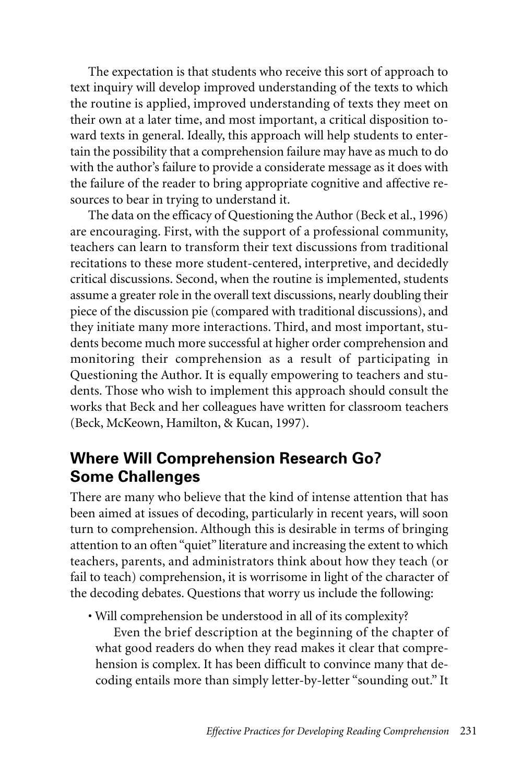The expectation is that students who receive this sort of approach to text inquiry will develop improved understanding of the texts to which the routine is applied, improved understanding of texts they meet on their own at a later time, and most important, a critical disposition toward texts in general. Ideally, this approach will help students to entertain the possibility that a comprehension failure may have as much to do with the author's failure to provide a considerate message as it does with the failure of the reader to bring appropriate cognitive and affective resources to bear in trying to understand it.

The data on the efficacy of Questioning the Author (Beck et al., 1996) are encouraging. First, with the support of a professional community, teachers can learn to transform their text discussions from traditional recitations to these more student-centered, interpretive, and decidedly critical discussions. Second, when the routine is implemented, students assume a greater role in the overall text discussions, nearly doubling their piece of the discussion pie (compared with traditional discussions), and they initiate many more interactions. Third, and most important, students become much more successful at higher order comprehension and monitoring their comprehension as a result of participating in Questioning the Author. It is equally empowering to teachers and students. Those who wish to implement this approach should consult the works that Beck and her colleagues have written for classroom teachers (Beck, McKeown, Hamilton, & Kucan, 1997).

### **Where Will Comprehension Research Go? Some Challenges**

There are many who believe that the kind of intense attention that has been aimed at issues of decoding, particularly in recent years, will soon turn to comprehension. Although this is desirable in terms of bringing attention to an often "quiet" literature and increasing the extent to which teachers, parents, and administrators think about how they teach (or fail to teach) comprehension, it is worrisome in light of the character of the decoding debates. Questions that worry us include the following:

• Will comprehension be understood in all of its complexity?

Even the brief description at the beginning of the chapter of what good readers do when they read makes it clear that comprehension is complex. It has been difficult to convince many that decoding entails more than simply letter-by-letter "sounding out." It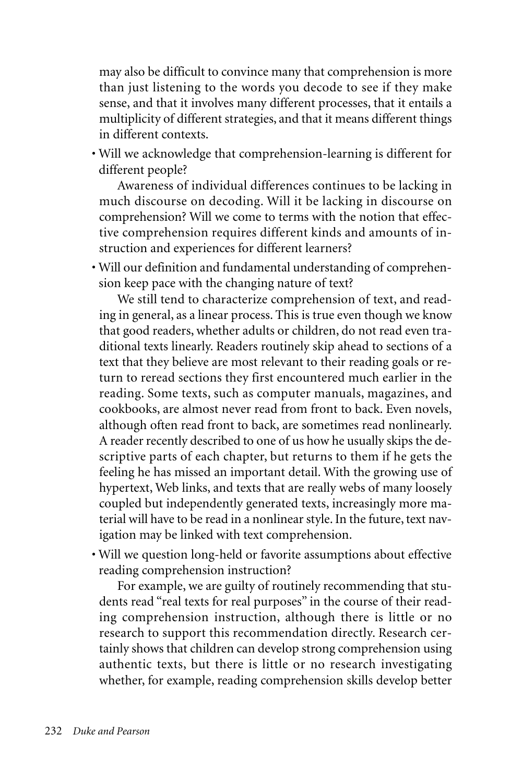may also be difficult to convince many that comprehension is more than just listening to the words you decode to see if they make sense, and that it involves many different processes, that it entails a multiplicity of different strategies, and that it means different things in different contexts.

• Will we acknowledge that comprehension-learning is different for different people?

Awareness of individual differences continues to be lacking in much discourse on decoding. Will it be lacking in discourse on comprehension? Will we come to terms with the notion that effective comprehension requires different kinds and amounts of instruction and experiences for different learners?

• Will our definition and fundamental understanding of comprehension keep pace with the changing nature of text?

We still tend to characterize comprehension of text, and reading in general, as a linear process. This is true even though we know that good readers, whether adults or children, do not read even traditional texts linearly. Readers routinely skip ahead to sections of a text that they believe are most relevant to their reading goals or return to reread sections they first encountered much earlier in the reading. Some texts, such as computer manuals, magazines, and cookbooks, are almost never read from front to back. Even novels, although often read front to back, are sometimes read nonlinearly. A reader recently described to one of us how he usually skips the descriptive parts of each chapter, but returns to them if he gets the feeling he has missed an important detail. With the growing use of hypertext, Web links, and texts that are really webs of many loosely coupled but independently generated texts, increasingly more material will have to be read in a nonlinear style. In the future, text navigation may be linked with text comprehension.

• Will we question long-held or favorite assumptions about effective reading comprehension instruction?

For example, we are guilty of routinely recommending that students read "real texts for real purposes" in the course of their reading comprehension instruction, although there is little or no research to support this recommendation directly. Research certainly shows that children can develop strong comprehension using authentic texts, but there is little or no research investigating whether, for example, reading comprehension skills develop better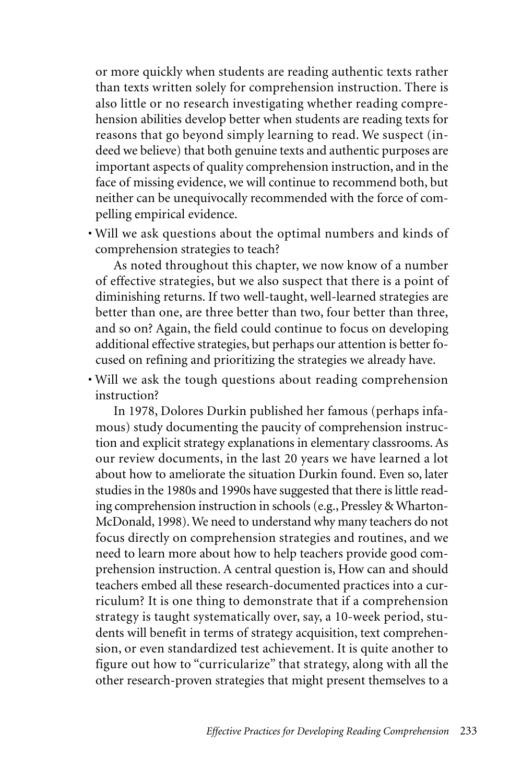or more quickly when students are reading authentic texts rather than texts written solely for comprehension instruction. There is also little or no research investigating whether reading comprehension abilities develop better when students are reading texts for reasons that go beyond simply learning to read. We suspect (indeed we believe) that both genuine texts and authentic purposes are important aspects of quality comprehension instruction, and in the face of missing evidence, we will continue to recommend both, but neither can be unequivocally recommended with the force of compelling empirical evidence.

• Will we ask questions about the optimal numbers and kinds of comprehension strategies to teach?

As noted throughout this chapter, we now know of a number of effective strategies, but we also suspect that there is a point of diminishing returns. If two well-taught, well-learned strategies are better than one, are three better than two, four better than three, and so on? Again, the field could continue to focus on developing additional effective strategies, but perhaps our attention is better focused on refining and prioritizing the strategies we already have.

• Will we ask the tough questions about reading comprehension instruction?

In 1978, Dolores Durkin published her famous (perhaps infamous) study documenting the paucity of comprehension instruction and explicit strategy explanations in elementary classrooms. As our review documents, in the last 20 years we have learned a lot about how to ameliorate the situation Durkin found. Even so, later studies in the 1980s and 1990s have suggested that there is little reading comprehension instruction in schools (e.g., Pressley & Wharton-McDonald, 1998). We need to understand why many teachers do not focus directly on comprehension strategies and routines, and we need to learn more about how to help teachers provide good comprehension instruction. A central question is, How can and should teachers embed all these research-documented practices into a curriculum? It is one thing to demonstrate that if a comprehension strategy is taught systematically over, say, a 10-week period, students will benefit in terms of strategy acquisition, text comprehension, or even standardized test achievement. It is quite another to figure out how to "curricularize" that strategy, along with all the other research-proven strategies that might present themselves to a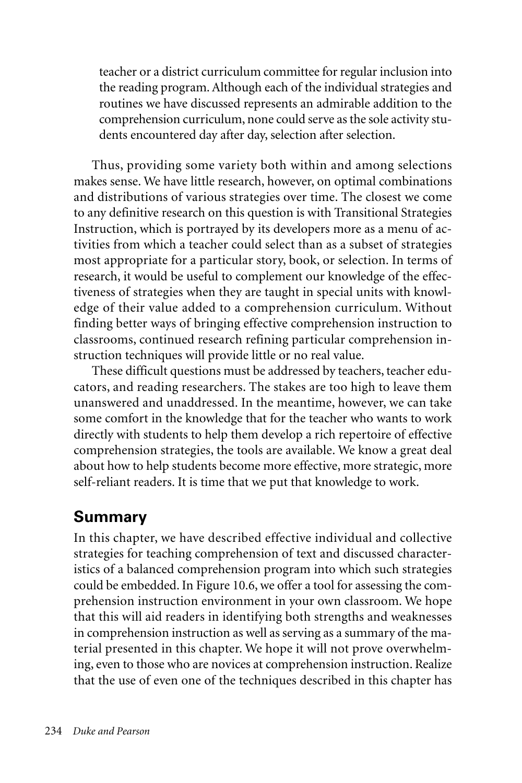teacher or a district curriculum committee for regular inclusion into the reading program. Although each of the individual strategies and routines we have discussed represents an admirable addition to the comprehension curriculum, none could serve as the sole activity students encountered day after day, selection after selection.

Thus, providing some variety both within and among selections makes sense. We have little research, however, on optimal combinations and distributions of various strategies over time. The closest we come to any definitive research on this question is with Transitional Strategies Instruction, which is portrayed by its developers more as a menu of activities from which a teacher could select than as a subset of strategies most appropriate for a particular story, book, or selection. In terms of research, it would be useful to complement our knowledge of the effectiveness of strategies when they are taught in special units with knowledge of their value added to a comprehension curriculum. Without finding better ways of bringing effective comprehension instruction to classrooms, continued research refining particular comprehension instruction techniques will provide little or no real value.

These difficult questions must be addressed by teachers, teacher educators, and reading researchers. The stakes are too high to leave them unanswered and unaddressed. In the meantime, however, we can take some comfort in the knowledge that for the teacher who wants to work directly with students to help them develop a rich repertoire of effective comprehension strategies, the tools are available. We know a great deal about how to help students become more effective, more strategic, more self-reliant readers. It is time that we put that knowledge to work.

# **Summary**

In this chapter, we have described effective individual and collective strategies for teaching comprehension of text and discussed characteristics of a balanced comprehension program into which such strategies could be embedded. In Figure 10.6, we offer a tool for assessing the comprehension instruction environment in your own classroom. We hope that this will aid readers in identifying both strengths and weaknesses in comprehension instruction as well as serving as a summary of the material presented in this chapter. We hope it will not prove overwhelming, even to those who are novices at comprehension instruction. Realize that the use of even one of the techniques described in this chapter has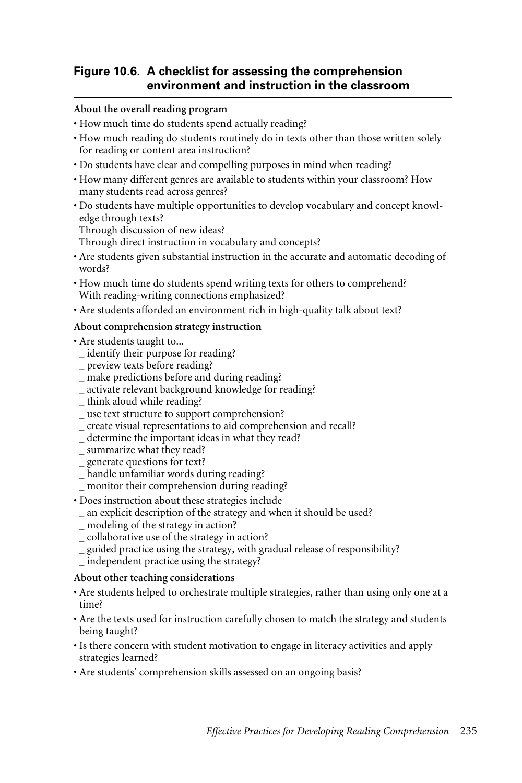#### **Figure 10.6. A checklist for assessing the comprehension environment and instruction in the classroom**

#### **About the overall reading program**

- How much time do students spend actually reading?
- How much reading do students routinely do in texts other than those written solely for reading or content area instruction?
- Do students have clear and compelling purposes in mind when reading?
- How many different genres are available to students within your classroom? How many students read across genres?
- Do students have multiple opportunities to develop vocabulary and concept knowledge through texts?

Through discussion of new ideas?

Through direct instruction in vocabulary and concepts?

- Are students given substantial instruction in the accurate and automatic decoding of words?
- How much time do students spend writing texts for others to comprehend? With reading-writing connections emphasized?
- Are students afforded an environment rich in high-quality talk about text?

#### **About comprehension strategy instruction**

- Are students taught to...
- \_ identify their purpose for reading?
- \_ preview texts before reading?
- make predictions before and during reading?
- \_ activate relevant background knowledge for reading?
- \_ think aloud while reading?
- \_ use text structure to support comprehension?
- \_ create visual representations to aid comprehension and recall?
- \_ determine the important ideas in what they read?
- \_ summarize what they read?
- \_ generate questions for text?
- \_ handle unfamiliar words during reading?
- \_ monitor their comprehension during reading?
- Does instruction about these strategies include
- \_ an explicit description of the strategy and when it should be used?
- \_ modeling of the strategy in action?
- \_ collaborative use of the strategy in action?
- \_ guided practice using the strategy, with gradual release of responsibility?
- \_ independent practice using the strategy?

#### **About other teaching considerations**

- Are students helped to orchestrate multiple strategies, rather than using only one at a time?
- Are the texts used for instruction carefully chosen to match the strategy and students being taught?
- Is there concern with student motivation to engage in literacy activities and apply strategies learned?
- Are students' comprehension skills assessed on an ongoing basis?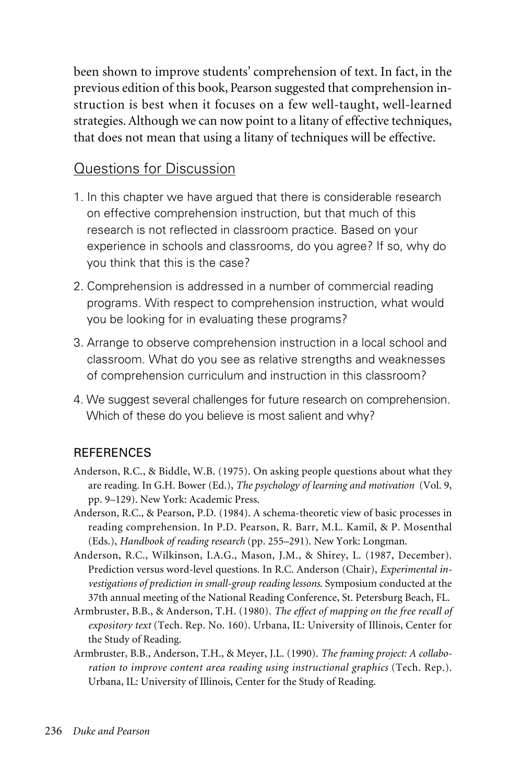been shown to improve students' comprehension of text. In fact, in the previous edition of this book, Pearson suggested that comprehension instruction is best when it focuses on a few well-taught, well-learned strategies. Although we can now point to a litany of effective techniques, that does not mean that using a litany of techniques will be effective.

### Questions for Discussion

- 1. In this chapter we have argued that there is considerable research on effective comprehension instruction, but that much of this research is not reflected in classroom practice. Based on your experience in schools and classrooms, do you agree? If so, why do you think that this is the case?
- 2. Comprehension is addressed in a number of commercial reading programs. With respect to comprehension instruction, what would you be looking for in evaluating these programs?
- 3. Arrange to observe comprehension instruction in a local school and classroom. What do you see as relative strengths and weaknesses of comprehension curriculum and instruction in this classroom?
- 4. We suggest several challenges for future research on comprehension. Which of these do you believe is most salient and why?

### **REFERENCES**

- Anderson, R.C., & Biddle, W.B. (1975). On asking people questions about what they are reading. In G.H. Bower (Ed.), *The psychology of learning and motivation* (Vol. 9, pp. 9–129). New York: Academic Press.
- Anderson, R.C., & Pearson, P.D. (1984). A schema-theoretic view of basic processes in reading comprehension. In P.D. Pearson, R. Barr, M.L. Kamil, & P. Mosenthal (Eds.), *Handbook of reading research* (pp. 255–291). New York: Longman.
- Anderson, R.C., Wilkinson, I.A.G., Mason, J.M., & Shirey, L. (1987, December). Prediction versus word-level questions. In R.C. Anderson (Chair), *Experimental investigations of prediction in small-group reading lessons*. Symposium conducted at the 37th annual meeting of the National Reading Conference, St. Petersburg Beach, FL.
- Armbruster, B.B., & Anderson, T.H. (1980). *The effect of mapping on the free recall of expository text* (Tech. Rep. No. 160). Urbana, IL: University of Illinois, Center for the Study of Reading.
- Armbruster, B.B., Anderson, T.H., & Meyer, J.L. (1990). *The framing project: A collaboration to improve content area reading using instructional graphics* (Tech. Rep.). Urbana, IL: University of Illinois, Center for the Study of Reading.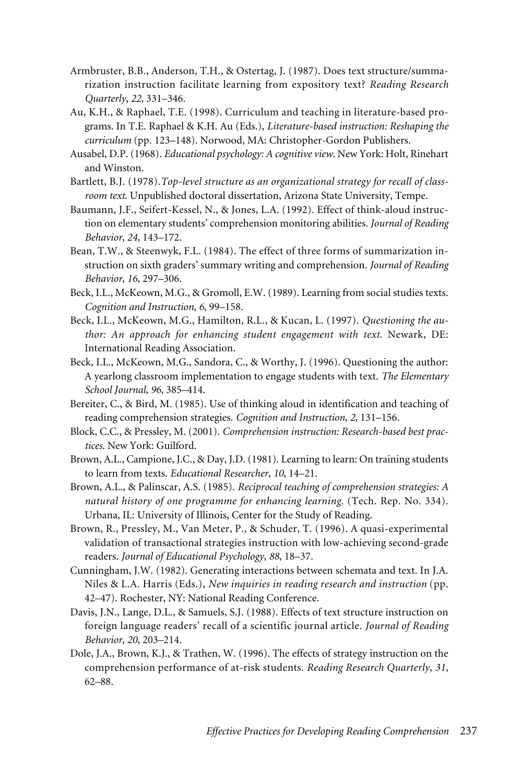- Armbruster, B.B., Anderson, T.H., & Ostertag, J. (1987). Does text structure/summarization instruction facilitate learning from expository text? *Reading Research Quarterly*, *22*, 331–346.
- Au, K.H., & Raphael, T.E. (1998). Curriculum and teaching in literature-based programs. In T.E. Raphael & K.H. Au (Eds.), *Literature-based instruction: Reshaping the curriculum* (pp. 123–148). Norwood, MA: Christopher-Gordon Publishers.
- Ausabel, D.P. (1968). *Educational psychology: A cognitive view*. New York: Holt, Rinehart and Winston.
- Bartlett, B.J. (1978).*Top-level structure as an organizational strategy for recall of classroom text*. Unpublished doctoral dissertation, Arizona State University, Tempe.
- Baumann, J.F., Seifert-Kessel, N., & Jones, L.A. (1992). Effect of think-aloud instruction on elementary students' comprehension monitoring abilities. *Journal of Reading Behavior*, *24*, 143–172.
- Bean, T.W., & Steenwyk, F.L. (1984). The effect of three forms of summarization instruction on sixth graders' summary writing and comprehension. *Journal of Reading Behavior*, *16*, 297–306.
- Beck, I.L., McKeown, M.G., & Gromoll, E.W. (1989). Learning from social studies texts. *Cognition and Instruction*, *6*, 99–158.
- Beck, I.L., McKeown, M.G., Hamilton, R.L., & Kucan, L. (1997). *Questioning the author: An approach for enhancing student engagement with text*. Newark, DE: International Reading Association.
- Beck, I.L., McKeown, M.G., Sandora, C., & Worthy, J. (1996). Questioning the author: A yearlong classroom implementation to engage students with text. *The Elementary School Journal*, *96*, 385–414.
- Bereiter, C., & Bird, M. (1985). Use of thinking aloud in identification and teaching of reading comprehension strategies. *Cognition and Instruction*, *2*, 131–156.
- Block, C.C., & Pressley, M. (2001). *Comprehension instruction: Research-based best practices*. New York: Guilford.
- Brown, A.L., Campione, J.C., & Day, J.D. (1981). Learning to learn: On training students to learn from texts. *Educational Researcher*, *10*, 14–21.
- Brown, A.L., & Palinscar, A.S. (1985). *Reciprocal teaching of comprehension strategies: A natural history of one programme for enhancing learning*. (Tech. Rep. No. 334). Urbana, IL: University of Illinois, Center for the Study of Reading.
- Brown, R., Pressley, M., Van Meter, P., & Schuder, T. (1996). A quasi-experimental validation of transactional strategies instruction with low-achieving second-grade readers. *Journal of Educational Psychology*, *88*, 18–37.
- Cunningham, J.W. (1982). Generating interactions between schemata and text. In J.A. Niles & L.A. Harris (Eds.), *New inquiries in reading research and instruction* (pp. 42–47). Rochester, NY: National Reading Conference.
- Davis, J.N., Lange, D.L., & Samuels, S.J. (1988). Effects of text structure instruction on foreign language readers' recall of a scientific journal article. *Journal of Reading Behavior*, *20*, 203–214.
- Dole, J.A., Brown, K.J., & Trathen, W. (1996). The effects of strategy instruction on the comprehension performance of at-risk students. *Reading Research Quarterly*, *31*, 62–88.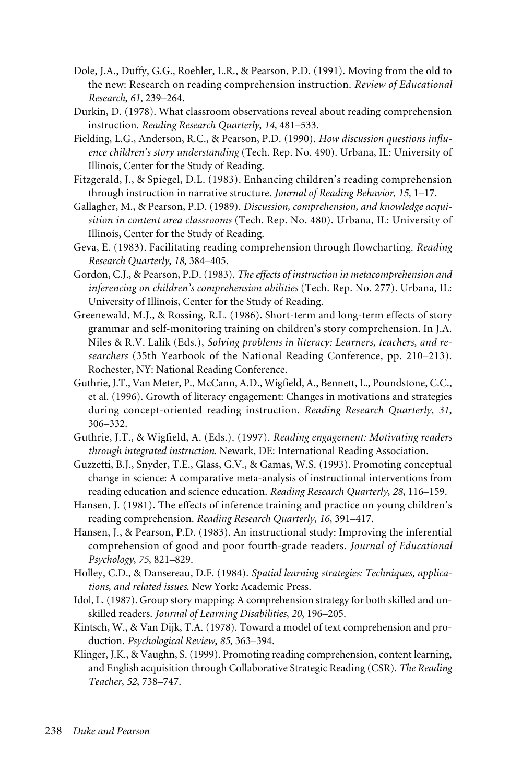- Dole, J.A., Duffy, G.G., Roehler, L.R., & Pearson, P.D. (1991). Moving from the old to the new: Research on reading comprehension instruction. *Review of Educational Research*, *61*, 239–264.
- Durkin, D. (1978). What classroom observations reveal about reading comprehension instruction. *Reading Research Quarterly*, *14*, 481–533.
- Fielding, L.G., Anderson, R.C., & Pearson, P.D. (1990). *How discussion questions influence children's story understanding* (Tech. Rep. No. 490). Urbana, IL: University of Illinois, Center for the Study of Reading.
- Fitzgerald, J., & Spiegel, D.L. (1983). Enhancing children's reading comprehension through instruction in narrative structure. *Journal of Reading Behavior*, *15*, 1–17.
- Gallagher, M., & Pearson, P.D. (1989). *Discussion, comprehension, and knowledge acquisition in content area classrooms* (Tech. Rep. No. 480). Urbana, IL: University of Illinois, Center for the Study of Reading.
- Geva, E. (1983). Facilitating reading comprehension through flowcharting. *Reading Research Quarterly*, *18*, 384–405.
- Gordon, C.J., & Pearson, P.D. (1983). *The effects of instruction in metacomprehension and inferencing on children's comprehension abilities* (Tech. Rep. No. 277). Urbana, IL: University of Illinois, Center for the Study of Reading.
- Greenewald, M.J., & Rossing, R.L. (1986). Short-term and long-term effects of story grammar and self-monitoring training on children's story comprehension. In J.A. Niles & R.V. Lalik (Eds.), *Solving problems in literacy: Learners, teachers, and researchers* (35th Yearbook of the National Reading Conference, pp. 210–213). Rochester, NY: National Reading Conference.
- Guthrie, J.T., Van Meter, P., McCann, A.D., Wigfield, A., Bennett, L., Poundstone, C.C., et al. (1996). Growth of literacy engagement: Changes in motivations and strategies during concept-oriented reading instruction. *Reading Research Quarterly*, *31*, 306–332.
- Guthrie, J.T., & Wigfield, A. (Eds.). (1997). *Reading engagement: Motivating readers through integrated instruction*. Newark, DE: International Reading Association.
- Guzzetti, B.J., Snyder, T.E., Glass, G.V., & Gamas, W.S. (1993). Promoting conceptual change in science: A comparative meta-analysis of instructional interventions from reading education and science education. *Reading Research Quarterly*, *28*, 116–159.
- Hansen, J. (1981). The effects of inference training and practice on young children's reading comprehension. *Reading Research Quarterly*, *16*, 391–417.
- Hansen, J., & Pearson, P.D. (1983). An instructional study: Improving the inferential comprehension of good and poor fourth-grade readers. *Journal of Educational Psychology*, *75*, 821–829.
- Holley, C.D., & Dansereau, D.F. (1984). *Spatial learning strategies: Techniques, applications, and related issues*. New York: Academic Press.
- Idol, L. (1987). Group story mapping: A comprehension strategy for both skilled and unskilled readers. *Journal of Learning Disabilities*, *20*, 196–205.
- Kintsch, W., & Van Dijk, T.A. (1978). Toward a model of text comprehension and production. *Psychological Review*, *85*, 363–394.
- Klinger, J.K., & Vaughn, S. (1999). Promoting reading comprehension, content learning, and English acquisition through Collaborative Strategic Reading (CSR). *The Reading Teacher*, *52*, 738–747.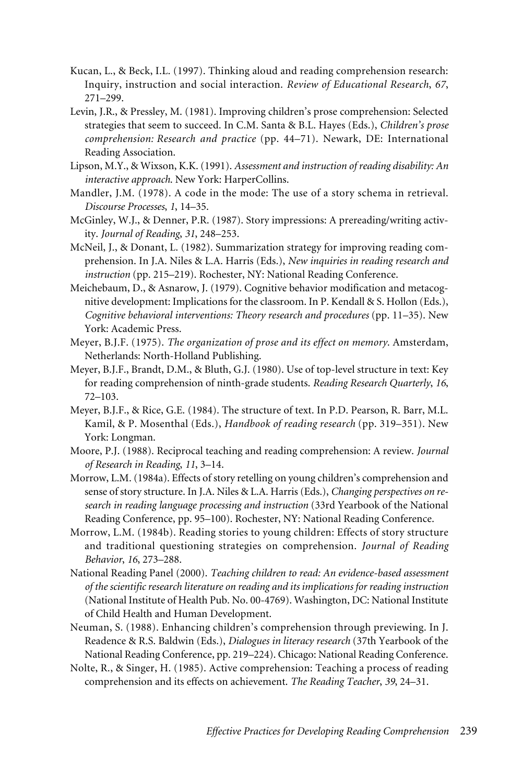- Kucan, L., & Beck, I.L. (1997). Thinking aloud and reading comprehension research: Inquiry, instruction and social interaction. *Review of Educational Research*, *67*, 271–299.
- Levin, J.R., & Pressley, M. (1981). Improving children's prose comprehension: Selected strategies that seem to succeed. In C.M. Santa & B.L. Hayes (Eds.), *Children's prose comprehension: Research and practice* (pp. 44–71). Newark, DE: International Reading Association.
- Lipson, M.Y., & Wixson, K.K. (1991). *Assessment and instruction of reading disability: An interactive approach*. New York: HarperCollins.
- Mandler, J.M. (1978). A code in the mode: The use of a story schema in retrieval. *Discourse Processes*, *1*, 14–35.
- McGinley, W.J., & Denner, P.R. (1987). Story impressions: A prereading/writing activity. *Journal of Reading*, *31*, 248–253.
- McNeil, J., & Donant, L. (1982). Summarization strategy for improving reading comprehension. In J.A. Niles & L.A. Harris (Eds.), *New inquiries in reading research and instruction* (pp. 215–219). Rochester, NY: National Reading Conference.
- Meichebaum, D., & Asnarow, J. (1979). Cognitive behavior modification and metacognitive development: Implications for the classroom. In P. Kendall & S. Hollon (Eds.), *Cognitive behavioral interventions: Theory research and procedures* (pp. 11–35). New York: Academic Press.
- Meyer, B.J.F. (1975). *The organization of prose and its effect on memory*. Amsterdam, Netherlands: North-Holland Publishing.
- Meyer, B.J.F., Brandt, D.M., & Bluth, G.J. (1980). Use of top-level structure in text: Key for reading comprehension of ninth-grade students. *Reading Research Quarterly*, *16*, 72–103.
- Meyer, B.J.F., & Rice, G.E. (1984). The structure of text. In P.D. Pearson, R. Barr, M.L. Kamil, & P. Mosenthal (Eds.), *Handbook of reading research* (pp. 319–351). New York: Longman.
- Moore, P.J. (1988). Reciprocal teaching and reading comprehension: A review. *Journal of Research in Reading*, *11*, 3–14.
- Morrow, L.M. (1984a). Effects of story retelling on young children's comprehension and sense of story structure. In J.A. Niles & L.A. Harris (Eds.), *Changing perspectives on research in reading language processing and instruction* (33rd Yearbook of the National Reading Conference, pp. 95–100). Rochester, NY: National Reading Conference.
- Morrow, L.M. (1984b). Reading stories to young children: Effects of story structure and traditional questioning strategies on comprehension. *Journal of Reading Behavior*, *16*, 273–288.
- National Reading Panel (2000). *Teaching children to read: An evidence-based assessment of the scientific research literature on reading and its implications for reading instruction* (National Institute of Health Pub. No. 00-4769). Washington, DC: National Institute of Child Health and Human Development.
- Neuman, S. (1988). Enhancing children's comprehension through previewing. In J. Readence & R.S. Baldwin (Eds.), *Dialogues in literacy research* (37th Yearbook of the National Reading Conference, pp. 219–224). Chicago: National Reading Conference.
- Nolte, R., & Singer, H. (1985). Active comprehension: Teaching a process of reading comprehension and its effects on achievement. *The Reading Teacher*, *39*, 24–31.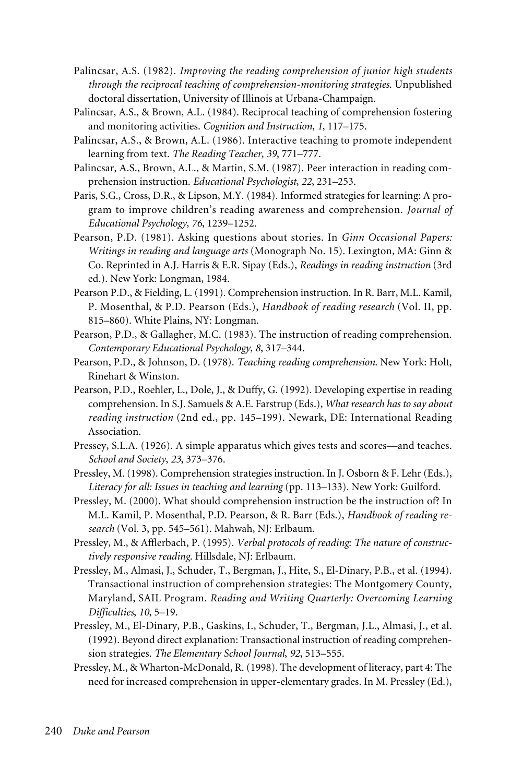- Palincsar, A.S. (1982). *Improving the reading comprehension of junior high students through the reciprocal teaching of comprehension-monitoring strategies*. Unpublished doctoral dissertation, University of Illinois at Urbana-Champaign.
- Palincsar, A.S., & Brown, A.L. (1984). Reciprocal teaching of comprehension fostering and monitoring activities. *Cognition and Instruction*, *1*, 117–175.
- Palincsar, A.S., & Brown, A.L. (1986). Interactive teaching to promote independent learning from text. *The Reading Teacher*, *39*, 771–777.
- Palincsar, A.S., Brown, A.L., & Martin, S.M. (1987). Peer interaction in reading comprehension instruction. *Educational Psychologist*, *22*, 231–253.
- Paris, S.G., Cross, D.R., & Lipson, M.Y. (1984). Informed strategies for learning: A program to improve children's reading awareness and comprehension. *Journal of Educational Psychology, 76*, 1239–1252.
- Pearson, P.D. (1981). Asking questions about stories. In *Ginn Occasional Papers: Writings in reading and language arts* (Monograph No. 15). Lexington, MA: Ginn & Co. Reprinted in A.J. Harris & E.R. Sipay (Eds.), *Readings in reading instruction* (3rd ed.). New York: Longman, 1984.
- Pearson P.D., & Fielding, L. (1991). Comprehension instruction. In R. Barr, M.L. Kamil, P. Mosenthal, & P.D. Pearson (Eds.), *Handbook of reading research* (Vol. II, pp. 815–860). White Plains, NY: Longman.
- Pearson, P.D., & Gallagher, M.C. (1983). The instruction of reading comprehension. *Contemporary Educational Psychology*, *8*, 317–344.
- Pearson, P.D., & Johnson, D. (1978). *Teaching reading comprehension*. New York: Holt, Rinehart & Winston.
- Pearson, P.D., Roehler, L., Dole, J., & Duffy, G. (1992). Developing expertise in reading comprehension. In S.J. Samuels & A.E. Farstrup (Eds.), *What research has to say about reading instruction* (2nd ed., pp. 145–199). Newark, DE: International Reading Association.
- Pressey, S.L.A. (1926). A simple apparatus which gives tests and scores—and teaches. *School and Society*, *23*, 373–376.
- Pressley, M. (1998). Comprehension strategies instruction. In J. Osborn & F. Lehr (Eds.), *Literacy for all: Issues in teaching and learning* (pp. 113–133). New York: Guilford.
- Pressley, M. (2000). What should comprehension instruction be the instruction of? In M.L. Kamil, P. Mosenthal, P.D. Pearson, & R. Barr (Eds.), *Handbook of reading research* (Vol. 3, pp. 545–561). Mahwah, NJ: Erlbaum.
- Pressley, M., & Afflerbach, P. (1995). *Verbal protocols of reading: The nature of constructively responsive reading*. Hillsdale, NJ: Erlbaum.
- Pressley, M., Almasi, J., Schuder, T., Bergman, J., Hite, S., El-Dinary, P.B., et al. (1994). Transactional instruction of comprehension strategies: The Montgomery County, Maryland, SAIL Program. *Reading and Writing Quarterly: Overcoming Learning Difficulties*, *10*, 5–19.
- Pressley, M., El-Dinary, P.B., Gaskins, I., Schuder, T., Bergman, J.L., Almasi, J., et al. (1992). Beyond direct explanation: Transactional instruction of reading comprehension strategies. *The Elementary School Journal*, *92*, 513–555.
- Pressley, M., & Wharton-McDonald, R. (1998). The development of literacy, part 4: The need for increased comprehension in upper-elementary grades. In M. Pressley (Ed.),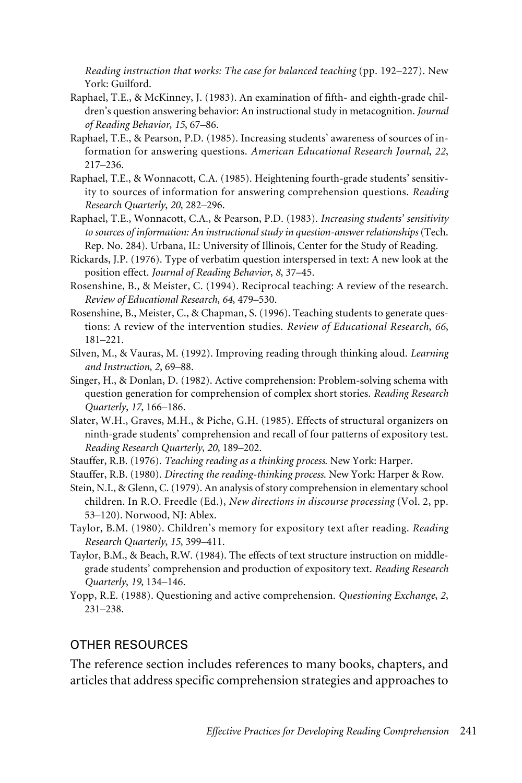*Reading instruction that works: The case for balanced teaching* (pp. 192–227). New York: Guilford.

- Raphael, T.E., & McKinney, J. (1983). An examination of fifth- and eighth-grade children's question answering behavior: An instructional study in metacognition. *Journal of Reading Behavior*, *15*, 67–86.
- Raphael, T.E., & Pearson, P.D. (1985). Increasing students' awareness of sources of information for answering questions. *American Educational Research Journal*, *22*, 217–236.
- Raphael, T.E., & Wonnacott, C.A. (1985). Heightening fourth-grade students' sensitivity to sources of information for answering comprehension questions. *Reading Research Quarterly*, *20*, 282–296.
- Raphael, T.E., Wonnacott, C.A., & Pearson, P.D. (1983). *Increasing students' sensitivity to sources of information: An instructional study in question-answer relationships* (Tech. Rep. No. 284). Urbana, IL: University of Illinois, Center for the Study of Reading.
- Rickards, J.P. (1976). Type of verbatim question interspersed in text: A new look at the position effect. *Journal of Reading Behavior*, *8*, 37–45.
- Rosenshine, B., & Meister, C. (1994). Reciprocal teaching: A review of the research. *Review of Educational Research*, *64*, 479–530.
- Rosenshine, B., Meister, C., & Chapman, S. (1996). Teaching students to generate questions: A review of the intervention studies. *Review of Educational Research*, *66*, 181–221.
- Silven, M., & Vauras, M. (1992). Improving reading through thinking aloud. *Learning and Instruction*, *2*, 69–88.
- Singer, H., & Donlan, D. (1982). Active comprehension: Problem-solving schema with question generation for comprehension of complex short stories. *Reading Research Quarterly*, *17*, 166–186.
- Slater, W.H., Graves, M.H., & Piche, G.H. (1985). Effects of structural organizers on ninth-grade students' comprehension and recall of four patterns of expository test. *Reading Research Quarterly*, *20*, 189–202.
- Stauffer, R.B. (1976). *Teaching reading as a thinking process*. New York: Harper.
- Stauffer, R.B. (1980). *Directing the reading-thinking process*. New York: Harper & Row.
- Stein, N.I., & Glenn, C. (1979). An analysis of story comprehension in elementary school children. In R.O. Freedle (Ed.), *New directions in discourse processing* (Vol. 2, pp. 53–120). Norwood, NJ: Ablex.
- Taylor, B.M. (1980). Children's memory for expository text after reading. *Reading Research Quarterly*, *15*, 399–411.
- Taylor, B.M., & Beach, R.W. (1984). The effects of text structure instruction on middlegrade students' comprehension and production of expository text. *Reading Research Quarterly*, *19*, 134–146.
- Yopp, R.E. (1988). Questioning and active comprehension. *Questioning Exchange*, *2*, 231–238.

#### OTHER RESOURCES

The reference section includes references to many books, chapters, and articles that address specific comprehension strategies and approaches to